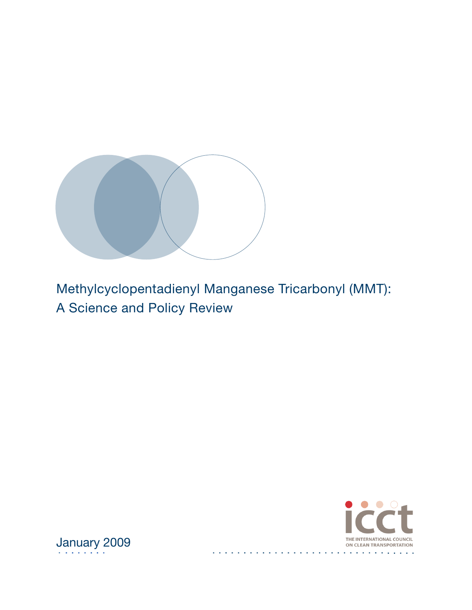



 $\mathbf{r}$  $\mathbf{r}$ 

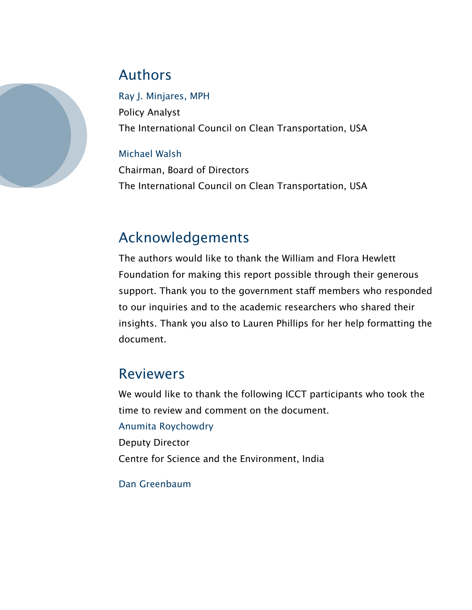

# Authors

Ray J. Minjares, MPH Policy Analyst The International Council on Clean Transportation, USA

### Michael Walsh

Chairman, Board of Directors The International Council on Clean Transportation, USA

# Acknowledgements

The authors would like to thank the William and Flora Hewlett Foundation for making this report possible through their generous support. Thank you to the government staff members who responded to our inquiries and to the academic researchers who shared their insights. Thank you also to Lauren Phillips for her help formatting the document.

## Reviewers

We would like to thank the following ICCT participants who took the time to review and comment on the document.

### Anumita Roychowdry

Deputy Director

Centre for Science and the Environment, India

### Dan Greenbaum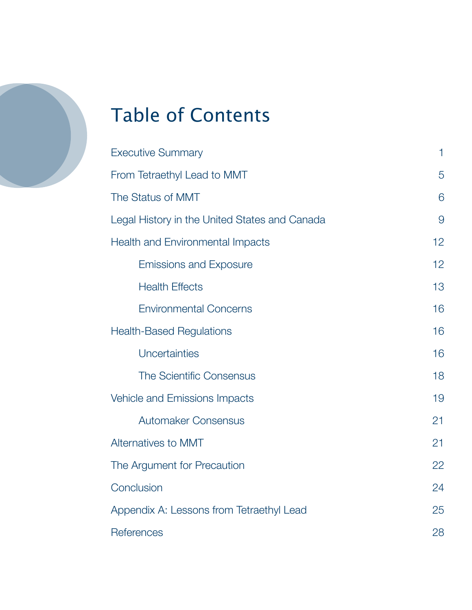

# Table of Contents

| <b>Executive Summary</b>                      |    |  |  |  |  |
|-----------------------------------------------|----|--|--|--|--|
| From Tetraethyl Lead to MMT                   |    |  |  |  |  |
| The Status of MMT                             |    |  |  |  |  |
| Legal History in the United States and Canada |    |  |  |  |  |
| <b>Health and Environmental Impacts</b>       |    |  |  |  |  |
| <b>Emissions and Exposure</b>                 | 12 |  |  |  |  |
| <b>Health Effects</b>                         | 13 |  |  |  |  |
| <b>Environmental Concerns</b>                 | 16 |  |  |  |  |
| <b>Health-Based Regulations</b>               | 16 |  |  |  |  |
| Uncertainties                                 | 16 |  |  |  |  |
| <b>The Scientific Consensus</b>               | 18 |  |  |  |  |
| Vehicle and Emissions Impacts                 | 19 |  |  |  |  |
| <b>Automaker Consensus</b>                    | 21 |  |  |  |  |
| Alternatives to MMT                           | 21 |  |  |  |  |
| The Argument for Precaution                   |    |  |  |  |  |
| Conclusion                                    |    |  |  |  |  |
| Appendix A: Lessons from Tetraethyl Lead      |    |  |  |  |  |
| References                                    |    |  |  |  |  |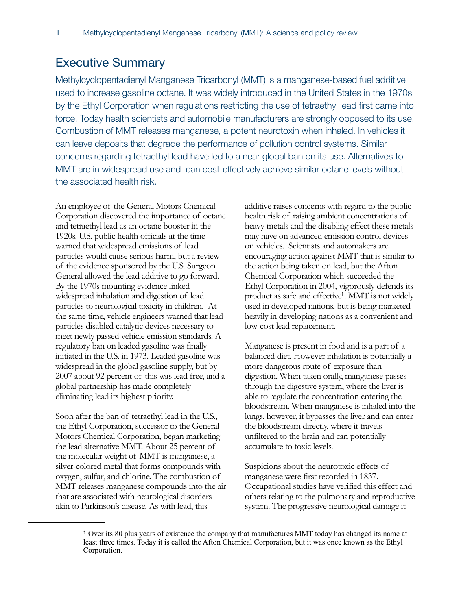### <span id="page-3-0"></span>Executive Summary

Methylcyclopentadienyl Manganese Tricarbonyl (MMT) is a manganese-based fuel additive used to increase gasoline octane. It was widely introduced in the United States in the 1970s by the Ethyl Corporation when regulations restricting the use of tetraethyl lead first came into force. Today health scientists and automobile manufacturers are strongly opposed to its use. Combustion of MMT releases manganese, a potent neurotoxin when inhaled. In vehicles it can leave deposits that degrade the performance of pollution control systems. Similar concerns regarding tetraethyl lead have led to a near global ban on its use. Alternatives to MMT are in widespread use and can cost-effectively achieve similar octane levels without the associated health risk.

An employee of the General Motors Chemical Corporation discovered the importance of octane and tetraethyl lead as an octane booster in the 1920s. U.S. public health officials at the time warned that widespread emissions of lead particles would cause serious harm, but a review of the evidence sponsored by the U.S. Surgeon General allowed the lead additive to go forward. By the 1970s mounting evidence linked widespread inhalation and digestion of lead particles to neurological toxicity in children. At the same time, vehicle engineers warned that lead particles disabled catalytic devices necessary to meet newly passed vehicle emission standards. A regulatory ban on leaded gasoline was finally initiated in the U.S. in 1973. Leaded gasoline was widespread in the global gasoline supply, but by 2007 about 92 percent of this was lead free, and a global partnership has made completely eliminating lead its highest priority.

Soon after the ban of tetraethyl lead in the U.S., the Ethyl Corporation, successor to the General Motors Chemical Corporation, began marketing the lead alternative MMT. About 25 percent of the molecular weight of MMT is manganese, a silver-colored metal that forms compounds with oxygen, sulfur, and chlorine. The combustion of MMT releases manganese compounds into the air that are associated with neurological disorders akin to Parkinson's disease. As with lead, this

additive raises concerns with regard to the public health risk of raising ambient concentrations of heavy metals and the disabling effect these metals may have on advanced emission control devices on vehicles. Scientists and automakers are encouraging action against MMT that is similar to the action being taken on lead, but the Afton Chemical Corporation which succeeded the Ethyl Corporation in 2004, vigorously defends its product as safe and effective<sup>1</sup>. MMT is not widely used in developed nations, but is being marketed heavily in developing nations as a convenient and low-cost lead replacement.

Manganese is present in food and is a part of a balanced diet. However inhalation is potentially a more dangerous route of exposure than digestion. When taken orally, manganese passes through the digestive system, where the liver is able to regulate the concentration entering the bloodstream. When manganese is inhaled into the lungs, however, it bypasses the liver and can enter the bloodstream directly, where it travels unfiltered to the brain and can potentially accumulate to toxic levels.

Suspicions about the neurotoxic effects of manganese were first recorded in 1837. Occupational studies have verified this effect and others relating to the pulmonary and reproductive system. The progressive neurological damage it

<span id="page-3-1"></span><sup>1</sup> Over its 80 plus years of existence the company that manufactures MMT today has changed its name at least three times. Today it is called the Afton Chemical Corporation, but it was once known as the Ethyl Corporation.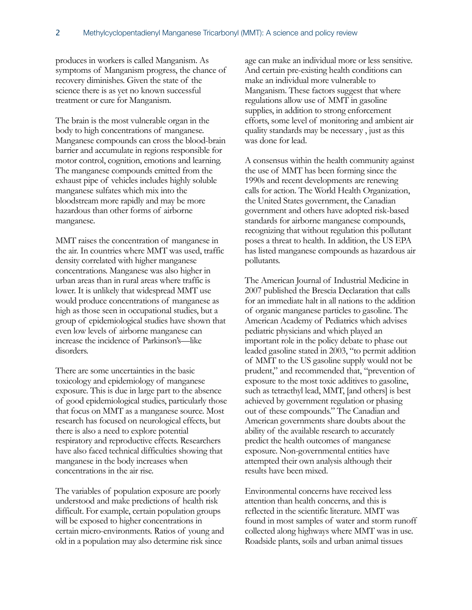produces in workers is called Manganism. As symptoms of Manganism progress, the chance of recovery diminishes. Given the state of the science there is as yet no known successful treatment or cure for Manganism.

The brain is the most vulnerable organ in the body to high concentrations of manganese. Manganese compounds can cross the blood-brain barrier and accumulate in regions responsible for motor control, cognition, emotions and learning. The manganese compounds emitted from the exhaust pipe of vehicles includes highly soluble manganese sulfates which mix into the bloodstream more rapidly and may be more hazardous than other forms of airborne manganese.

MMT raises the concentration of manganese in the air. In countries where MMT was used, traffic density correlated with higher manganese concentrations. Manganese was also higher in urban areas than in rural areas where traffic is lower. It is unlikely that widespread MMT use would produce concentrations of manganese as high as those seen in occupational studies, but a group of epidemiological studies have shown that even low levels of airborne manganese can increase the incidence of Parkinson's—like disorders.

There are some uncertainties in the basic toxicology and epidemiology of manganese exposure. This is due in large part to the absence of good epidemiological studies, particularly those that focus on MMT as a manganese source. Most research has focused on neurological effects, but there is also a need to explore potential respiratory and reproductive effects. Researchers have also faced technical difficulties showing that manganese in the body increases when concentrations in the air rise.

The variables of population exposure are poorly understood and make predictions of health risk difficult. For example, certain population groups will be exposed to higher concentrations in certain micro-environments. Ratios of young and old in a population may also determine risk since

age can make an individual more or less sensitive. And certain pre-existing health conditions can make an individual more vulnerable to Manganism. These factors suggest that where regulations allow use of MMT in gasoline supplies, in addition to strong enforcement efforts, some level of monitoring and ambient air quality standards may be necessary , just as this was done for lead.

A consensus within the health community against the use of MMT has been forming since the 1990s and recent developments are renewing calls for action. The World Health Organization, the United States government, the Canadian government and others have adopted risk-based standards for airborne manganese compounds, recognizing that without regulation this pollutant poses a threat to health. In addition, the US EPA has listed manganese compounds as hazardous air pollutants.

The American Journal of Industrial Medicine in 2007 published the Brescia Declaration that calls for an immediate halt in all nations to the addition of organic manganese particles to gasoline. The American Academy of Pediatrics which advises pediatric physicians and which played an important role in the policy debate to phase out leaded gasoline stated in 2003, "to permit addition of MMT to the US gasoline supply would not be prudent," and recommended that, "prevention of exposure to the most toxic additives to gasoline, such as tetraethyl lead, MMT, [and others] is best achieved by government regulation or phasing out of these compounds." The Canadian and American governments share doubts about the ability of the available research to accurately predict the health outcomes of manganese exposure. Non-governmental entities have attempted their own analysis although their results have been mixed.

Environmental concerns have received less attention than health concerns, and this is reflected in the scientific literature. MMT was found in most samples of water and storm runoff collected along highways where MMT was in use. Roadside plants, soils and urban animal tissues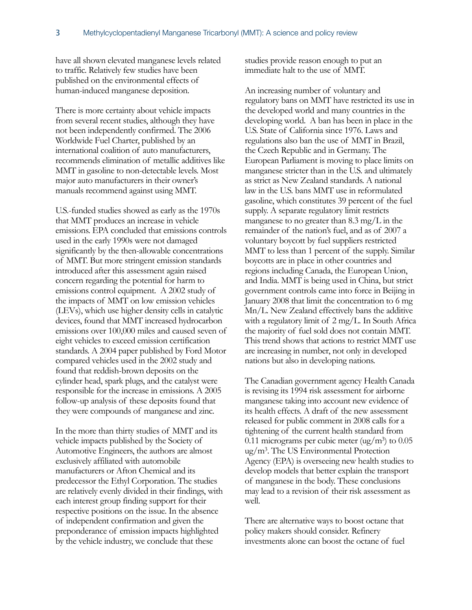have all shown elevated manganese levels related to traffic. Relatively few studies have been published on the environmental effects of human-induced manganese deposition.

There is more certainty about vehicle impacts from several recent studies, although they have not been independently confirmed. The 2006 Worldwide Fuel Charter, published by an international coalition of auto manufacturers, recommends elimination of metallic additives like MMT in gasoline to non-detectable levels. Most major auto manufacturers in their owner's manuals recommend against using MMT.

U.S.-funded studies showed as early as the 1970s that MMT produces an increase in vehicle emissions. EPA concluded that emissions controls used in the early 1990s were not damaged significantly by the then-allowable concentrations of MMT. But more stringent emission standards introduced after this assessment again raised concern regarding the potential for harm to emissions control equipment. A 2002 study of the impacts of MMT on low emission vehicles (LEVs), which use higher density cells in catalytic devices, found that MMT increased hydrocarbon emissions over 100,000 miles and caused seven of eight vehicles to exceed emission certification standards. A 2004 paper published by Ford Motor compared vehicles used in the 2002 study and found that reddish-brown deposits on the cylinder head, spark plugs, and the catalyst were responsible for the increase in emissions. A 2005 follow-up analysis of these deposits found that they were compounds of manganese and zinc.

In the more than thirty studies of MMT and its vehicle impacts published by the Society of Automotive Engineers, the authors are almost exclusively affiliated with automobile manufacturers or Afton Chemical and its predecessor the Ethyl Corporation. The studies are relatively evenly divided in their findings, with each interest group finding support for their respective positions on the issue. In the absence of independent confirmation and given the preponderance of emission impacts highlighted by the vehicle industry, we conclude that these

studies provide reason enough to put an immediate halt to the use of MMT.

An increasing number of voluntary and regulatory bans on MMT have restricted its use in the developed world and many countries in the developing world. A ban has been in place in the U.S. State of California since 1976. Laws and regulations also ban the use of MMT in Brazil, the Czech Republic and in Germany. The European Parliament is moving to place limits on manganese stricter than in the U.S. and ultimately as strict as New Zealand standards. A national law in the U.S. bans MMT use in reformulated gasoline, which constitutes 39 percent of the fuel supply. A separate regulatory limit restricts manganese to no greater than  $8.3 \text{ mg/L}$  in the remainder of the nation's fuel, and as of 2007 a voluntary boycott by fuel suppliers restricted MMT to less than 1 percent of the supply. Similar boycotts are in place in other countries and regions including Canada, the European Union, and India. MMT is being used in China, but strict government controls came into force in Beijing in January 2008 that limit the concentration to 6 mg Mn/L. New Zealand effectively bans the additive with a regulatory limit of 2 mg/L. In South Africa the majority of fuel sold does not contain MMT. This trend shows that actions to restrict MMT use are increasing in number, not only in developed nations but also in developing nations.

The Canadian government agency Health Canada is revising its 1994 risk assessment for airborne manganese taking into account new evidence of its health effects. A draft of the new assessment released for public comment in 2008 calls for a tightening of the current health standard from 0.11 micrograms per cubic meter  $\left(\frac{ug}{m^3}\right)$  to 0.05  $\mu$ g/m<sup>3</sup>. The US Environmental Protection Agency (EPA) is overseeing new health studies to develop models that better explain the transport of manganese in the body. These conclusions may lead to a revision of their risk assessment as well.

There are alternative ways to boost octane that policy makers should consider. Refinery investments alone can boost the octane of fuel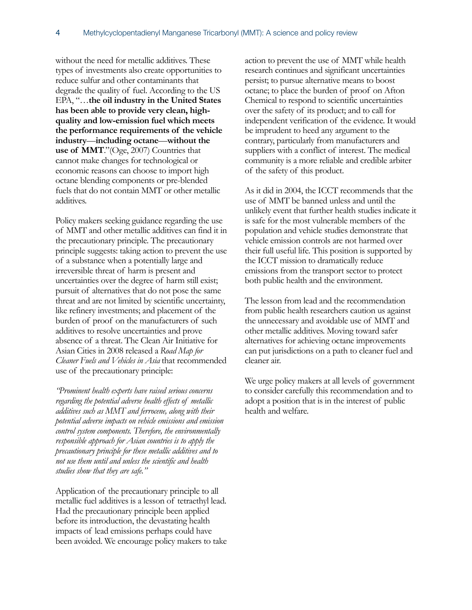without the need for metallic additives. These types of investments also create opportunities to reduce sulfur and other contaminants that degrade the quality of fuel. According to the US EPA, "…**the oil industry in the United States has been able to provide very clean, highquality and low-emission fuel which meets the performance requirements of the vehicle industry**—**including octane**—**without the use of MMT**."(Oge, 2007) Countries that cannot make changes for technological or economic reasons can choose to import high octane blending components or pre-blended fuels that do not contain MMT or other metallic additives.

Policy makers seeking guidance regarding the use of MMT and other metallic additives can find it in the precautionary principle. The precautionary principle suggests: taking action to prevent the use of a substance when a potentially large and irreversible threat of harm is present and uncertainties over the degree of harm still exist; pursuit of alternatives that do not pose the same threat and are not limited by scientific uncertainty, like refinery investments; and placement of the burden of proof on the manufacturers of such additives to resolve uncertainties and prove absence of a threat. The Clean Air Initiative for Asian Cities in 2008 released a *Road Map for Cleaner Fuels and Vehicles in Asia* that recommended use of the precautionary principle:

*"Prominent health experts have raised serious concerns regarding the potential adverse health effects of metallic additives such as MMT and ferrocene, along with their potential adverse impacts on vehicle emissions and emission control system components. Therefore, the environmentally responsible approach for Asian countries is to apply the precautionary principle for these metallic additives and to not use them until and unless the scientific and health studies show that they are safe."* 

Application of the precautionary principle to all metallic fuel additives is a lesson of tetraethyl lead. Had the precautionary principle been applied before its introduction, the devastating health impacts of lead emissions perhaps could have been avoided. We encourage policy makers to take action to prevent the use of MMT while health research continues and significant uncertainties persist; to pursue alternative means to boost octane; to place the burden of proof on Afton Chemical to respond to scientific uncertainties over the safety of its product; and to call for independent verification of the evidence. It would be imprudent to heed any argument to the contrary, particularly from manufacturers and suppliers with a conflict of interest. The medical community is a more reliable and credible arbiter of the safety of this product.

As it did in 2004, the ICCT recommends that the use of MMT be banned unless and until the unlikely event that further health studies indicate it is safe for the most vulnerable members of the population and vehicle studies demonstrate that vehicle emission controls are not harmed over their full useful life. This position is supported by the ICCT mission to dramatically reduce emissions from the transport sector to protect both public health and the environment.

The lesson from lead and the recommendation from public health researchers caution us against the unnecessary and avoidable use of MMT and other metallic additives. Moving toward safer alternatives for achieving octane improvements can put jurisdictions on a path to cleaner fuel and cleaner air.

We urge policy makers at all levels of government to consider carefully this recommendation and to adopt a position that is in the interest of public health and welfare.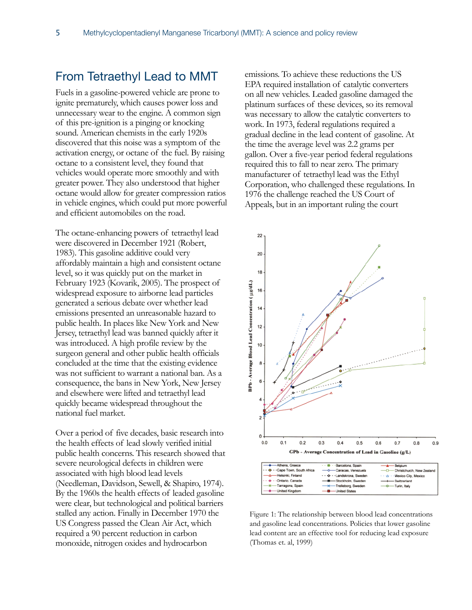### <span id="page-7-0"></span>From Tetraethyl Lead to MMT

Fuels in a gasoline-powered vehicle are prone to ignite prematurely, which causes power loss and unnecessary wear to the engine. A common sign of this pre-ignition is a pinging or knocking sound. American chemists in the early 1920s discovered that this noise was a symptom of the activation energy, or octane of the fuel. By raising octane to a consistent level, they found that vehicles would operate more smoothly and with greater power. They also understood that higher octane would allow for greater compression ratios in vehicle engines, which could put more powerful and efficient automobiles on the road.

The octane-enhancing powers of tetraethyl lead were discovered in December 1921 (Robert, 1983). This gasoline additive could very affordably maintain a high and consistent octane level, so it was quickly put on the market in February 1923 (Kovarik, 2005). The prospect of widespread exposure to airborne lead particles generated a serious debate over whether lead emissions presented an unreasonable hazard to public health. In places like New York and New Jersey, tetraethyl lead was banned quickly after it was introduced. A high profile review by the surgeon general and other public health officials concluded at the time that the existing evidence was not sufficient to warrant a national ban. As a consequence, the bans in New York, New Jersey and elsewhere were lifted and tetraethyl lead quickly became widespread throughout the national fuel market.

Over a period of five decades, basic research into the health effects of lead slowly verified initial public health concerns. This research showed that severe neurological defects in children were associated with high blood lead levels (Needleman, Davidson, Sewell, & Shapiro, 1974). By the 1960s the health effects of leaded gasoline were clear, but technological and political barriers stalled any action. Finally in December 1970 the US Congress passed the Clean Air Act, which required a 90 percent reduction in carbon monoxide, nitrogen oxides and hydrocarbon

emissions. To achieve these reductions the US EPA required installation of catalytic converters on all new vehicles. Leaded gasoline damaged the platinum surfaces of these devices, so its removal was necessary to allow the catalytic converters to work. In 1973, federal regulations required a gradual decline in the lead content of gasoline. At the time the average level was 2.2 grams per gallon. Over a five-year period federal regulations required this to fall to near zero. The primary manufacturer of tetraethyl lead was the Ethyl Corporation, who challenged these regulations. In 1976 the challenge reached the US Court of Appeals, but in an important ruling the court



Figure 1: The relationship between blood lead concentrations and gasoline lead concentrations. Policies that lower gasoline lead content are an effective tool for reducing lead exposure (Thomas et. al, 1999)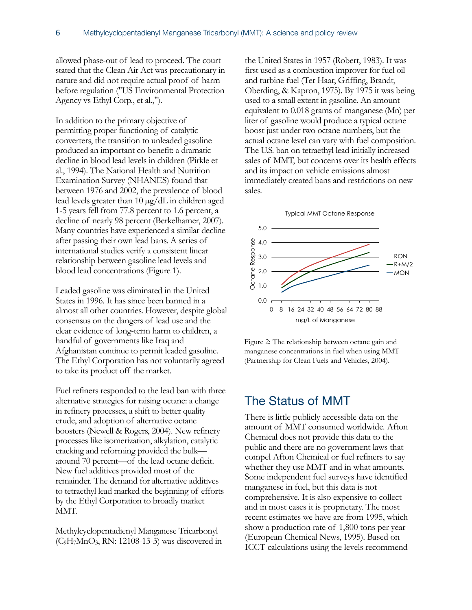allowed phase-out of lead to proceed. The court stated that the Clean Air Act was precautionary in nature and did not require actual proof of harm before regulation ("US Environmental Protection Agency vs Ethyl Corp., et al.,").

In addition to the primary objective of permitting proper functioning of catalytic converters, the transition to unleaded gasoline produced an important co-benefit: a dramatic decline in blood lead levels in children (Pirkle et al., 1994). The National Health and Nutrition Examination Survey (NHANES) found that between 1976 and 2002, the prevalence of blood lead levels greater than 10 µg/dL in children aged 1-5 years fell from 77.8 percent to 1.6 percent, a decline of nearly 98 percent (Berkelhamer, 2007). Many countries have experienced a similar decline after passing their own lead bans. A series of international studies verify a consistent linear relationship between gasoline lead levels and blood lead concentrations (Figure 1).

Leaded gasoline was eliminated in the United States in 1996. It has since been banned in a almost all other countries. However, despite global consensus on the dangers of lead use and the clear evidence of long-term harm to children, a handful of governments like Iraq and Afghanistan continue to permit leaded gasoline. The Ethyl Corporation has not voluntarily agreed to take its product off the market.

Fuel refiners responded to the lead ban with three alternative strategies for raising octane: a change in refinery processes, a shift to better quality crude, and adoption of alternative octane boosters (Newell & Rogers, 2004). New refinery processes like isomerization, alkylation, catalytic cracking and reforming provided the bulk around 70 percent—of the lead octane deficit. New fuel additives provided most of the remainder. The demand for alternative additives to tetraethyl lead marked the beginning of efforts by the Ethyl Corporation to broadly market MMT.

Methylcyclopentadienyl Manganese Tricarbonyl (C9H7MnO3, RN: 12108-13-3) was discovered in

the United States in 1957 (Robert, 1983). It was first used as a combustion improver for fuel oil and turbine fuel (Ter Haar, Griffing, Brandt, Oberding, & Kapron, 1975). By 1975 it was being used to a small extent in gasoline. An amount equivalent to 0.018 grams of manganese (Mn) per liter of gasoline would produce a typical octane boost just under two octane numbers, but the actual octane level can vary with fuel composition. The U.S. ban on tetraethyl lead initially increased sales of MMT, but concerns over its health effects and its impact on vehicle emissions almost immediately created bans and restrictions on new sales.





Figure 2: The relationship between octane gain and manganese concentrations in fuel when using MMT (Partnership for Clean Fuels and Vehicles, 2004).

### <span id="page-8-0"></span>The Status of MMT

There is little publicly accessible data on the amount of MMT consumed worldwide. Afton Chemical does not provide this data to the public and there are no government laws that compel Afton Chemical or fuel refiners to say whether they use MMT and in what amounts. Some independent fuel surveys have identified manganese in fuel, but this data is not comprehensive. It is also expensive to collect and in most cases it is proprietary. The most recent estimates we have are from 1995, which show a production rate of 1,800 tons per year (European Chemical News, 1995). Based on ICCT calculations using the levels recommend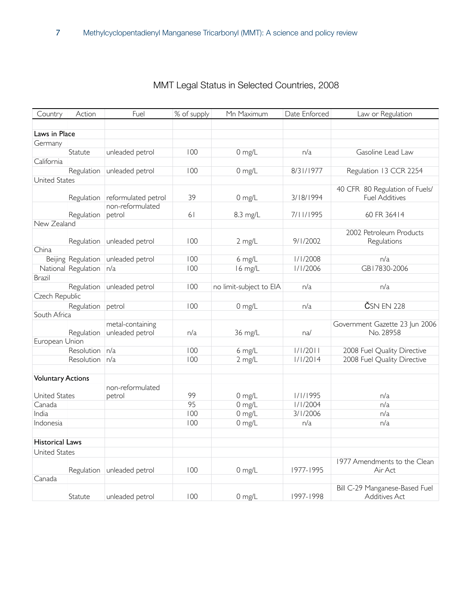| Country                  | Action              | Fuel                | % of supply | Mn Maximum              | Date Enforced | Law or Regulation                                       |
|--------------------------|---------------------|---------------------|-------------|-------------------------|---------------|---------------------------------------------------------|
|                          |                     |                     |             |                         |               |                                                         |
| Laws in Place            |                     |                     |             |                         |               |                                                         |
| Germany                  |                     |                     |             |                         |               |                                                         |
|                          | Statute             | unleaded petrol     | 100         | 0 mg/L                  | n/a           | Gasoline Lead Law                                       |
| California               |                     |                     |             |                         |               |                                                         |
|                          | Regulation          | unleaded petrol     | 100         | $0$ mg/L                | 8/31/1977     | Regulation 13 CCR 2254                                  |
| United States            |                     |                     |             |                         |               |                                                         |
|                          |                     | reformulated petrol | 39          | $0$ mg/L                | 3/18/1994     | 40 CFR 80 Regulation of Fuels/<br><b>Fuel Additives</b> |
|                          | Regulation          | non-reformulated    |             |                         |               |                                                         |
|                          | Regulation          | petrol              | 61          | 8.3 mg/L                | 7/11/1995     | 60 FR 36414                                             |
| New Zealand              |                     |                     |             |                         |               |                                                         |
|                          |                     |                     |             |                         |               | 2002 Petroleum Products                                 |
|                          | Regulation          | unleaded petrol     | 100         | 2 mg/L                  | 9/1/2002      | Regulations                                             |
| China                    |                     |                     |             |                         |               |                                                         |
|                          | Beijing Regulation  | unleaded petrol     | 100         | 6 mg/L                  | 1/1/2008      | n/a                                                     |
|                          | National Regulation | n/a                 | 100         | 16 mg/L                 | 1/1/2006      | GB17830-2006                                            |
| Brazil                   |                     |                     |             |                         |               |                                                         |
|                          | Regulation          | unleaded petrol     | 100         | no limit-subject to EIA | n/a           | n/a                                                     |
| Czech Republic           |                     |                     |             |                         |               |                                                         |
|                          | Regulation          | petrol              | 100         | $0$ mg/L                | n/a           | ČSN EN 228                                              |
| South Africa             |                     |                     |             |                         |               |                                                         |
|                          |                     | metal-containing    |             |                         |               | Government Gazette 23 Jun 2006                          |
|                          | Regulation          | unleaded petrol     | n/a         | 36 mg/L                 | na/           | No. 28958                                               |
| European Union           |                     |                     |             |                         |               |                                                         |
|                          | Resolution          | n/a                 | 100         | 6 mg/L                  | 1/1/2011      | 2008 Fuel Quality Directive                             |
|                          | Resolution          | n/a                 | 100         | 2 mg/L                  | 1/1/2014      | 2008 Fuel Quality Directive                             |
|                          |                     |                     |             |                         |               |                                                         |
| <b>Voluntary Actions</b> |                     |                     |             |                         |               |                                                         |
|                          |                     | non-reformulated    |             |                         |               |                                                         |
| United States            |                     | petrol              | 99          | $0$ mg/L                | 1/1/1995      | n/a                                                     |
| Canada                   |                     |                     | 95          | $0$ mg/L                | 1/1/2004      | n/a                                                     |
| India                    |                     |                     | 100         | $0$ mg/L                | 3/1/2006      | n/a                                                     |
| Indonesia                |                     |                     | 100         | $0$ mg/L                | n/a           | n/a                                                     |
|                          |                     |                     |             |                         |               |                                                         |
| Historical Laws          |                     |                     |             |                         |               |                                                         |
| United States            |                     |                     |             |                         |               |                                                         |
|                          |                     |                     |             |                         |               | 1977 Amendments to the Clean                            |
|                          | Regulation          | unleaded petrol     | 100         | $0$ mg/L                | 1977-1995     | Air Act                                                 |
| Canada                   |                     |                     |             |                         |               |                                                         |
|                          |                     |                     |             |                         |               | Bill C-29 Manganese-Based Fuel                          |
|                          | Statute             | unleaded petrol     | 100         | 0 mg/L                  | 1997-1998     | Additives Act                                           |

### MMT Legal Status in Selected Countries, 2008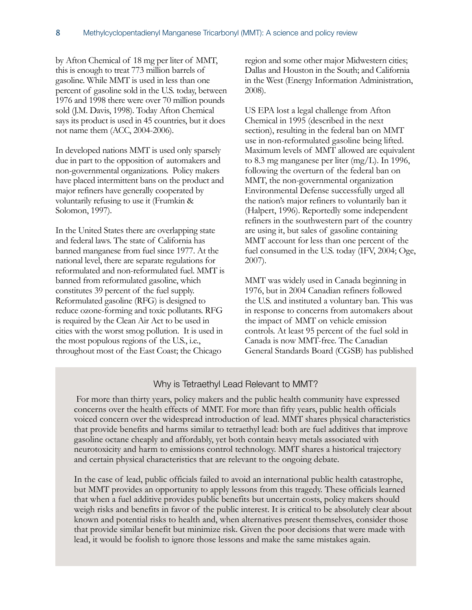by Afton Chemical of 18 mg per liter of MMT, this is enough to treat 773 million barrels of gasoline. While MMT is used in less than one percent of gasoline sold in the U.S. today, between 1976 and 1998 there were over 70 million pounds sold (J.M. Davis, 1998). Today Afton Chemical says its product is used in 45 countries, but it does not name them (ACC, 2004-2006).

In developed nations MMT is used only sparsely due in part to the opposition of automakers and non-governmental organizations. Policy makers have placed intermittent bans on the product and major refiners have generally cooperated by voluntarily refusing to use it (Frumkin & Solomon, 1997).

In the United States there are overlapping state and federal laws. The state of California has banned manganese from fuel since 1977. At the national level, there are separate regulations for reformulated and non-reformulated fuel. MMT is banned from reformulated gasoline, which constitutes 39 percent of the fuel supply. Reformulated gasoline (RFG) is designed to reduce ozone-forming and toxic pollutants. RFG is required by the Clean Air Act to be used in cities with the worst smog pollution. It is used in the most populous regions of the U.S., i.e., throughout most of the East Coast; the Chicago

region and some other major Midwestern cities; Dallas and Houston in the South; and California in the West (Energy Information Administration, 2008).

US EPA lost a legal challenge from Afton Chemical in 1995 (described in the next section), resulting in the federal ban on MMT use in non-reformulated gasoline being lifted. Maximum levels of MMT allowed are equivalent to 8.3 mg manganese per liter (mg/L). In 1996, following the overturn of the federal ban on MMT, the non-governmental organization Environmental Defense successfully urged all the nation's major refiners to voluntarily ban it (Halpert, 1996). Reportedly some independent refiners in the southwestern part of the country are using it, but sales of gasoline containing MMT account for less than one percent of the fuel consumed in the U.S. today (IFV, 2004; Oge, 2007).

MMT was widely used in Canada beginning in 1976, but in 2004 Canadian refiners followed the U.S. and instituted a voluntary ban. This was in response to concerns from automakers about the impact of MMT on vehicle emission controls. At least 95 percent of the fuel sold in Canada is now MMT-free. The Canadian General Standards Board (CGSB) has published

#### Why is Tetraethyl Lead Relevant to MMT?

 For more than thirty years, policy makers and the public health community have expressed concerns over the health effects of MMT. For more than fifty years, public health officials voiced concern over the widespread introduction of lead. MMT shares physical characteristics that provide benefits and harms similar to tetraethyl lead: both are fuel additives that improve gasoline octane cheaply and affordably, yet both contain heavy metals associated with neurotoxicity and harm to emissions control technology. MMT shares a historical trajectory and certain physical characteristics that are relevant to the ongoing debate.

 In the case of lead, public officials failed to avoid an international public health catastrophe, but MMT provides an opportunity to apply lessons from this tragedy. These officials learned that when a fuel additive provides public benefits but uncertain costs, policy makers should weigh risks and benefits in favor of the public interest. It is critical to be absolutely clear about known and potential risks to health and, when alternatives present themselves, consider those that provide similar benefit but minimize risk. Given the poor decisions that were made with lead, it would be foolish to ignore those lessons and make the same mistakes again.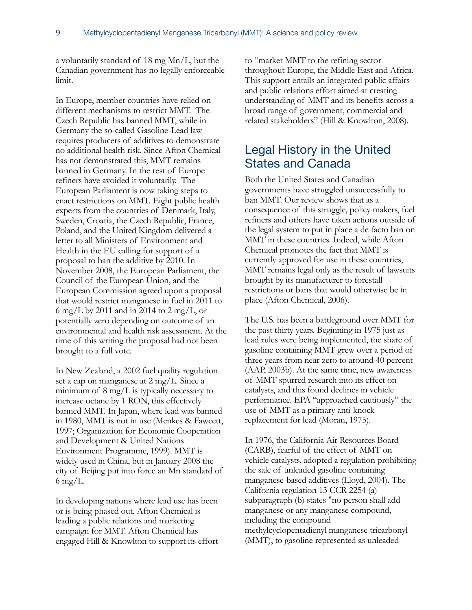a voluntarily standard of 18 mg Mn/L, but the Canadian government has no legally enforceable limit.

In Europe, member countries have relied on different mechanisms to restrict MMT. The Czech Republic has banned MMT, while in Germany the so-called Gasoline-Lead law requires producers of additives to demonstrate no additional health risk. Since Afton Chemical has not demonstrated this, MMT remains banned in Germany. In the rest of Europe refiners have avoided it voluntarily. The European Parliament is now taking steps to enact restrictions on MMT. Eight public health experts from the countries of Denmark, Italy, Sweden, Croatia, the Czech Republic, France, Poland, and the United Kingdom delivered a letter to all Ministers of Environment and Health in the EU calling for support of a proposal to ban the additive by 2010. In November 2008, the European Parliament, the Council of the European Union, and the European Commission agreed upon a proposal that would restrict manganese in fuel in 2011 to 6 mg/L by 2011 and in 2014 to 2 mg/L, or potentially zero depending on outcome of an environmental and health risk assessment. At the time of this writing the proposal had not been brought to a full vote.

In New Zealand, a 2002 fuel quality regulation set a cap on manganese at 2 mg/L. Since a minimum of 8 mg/L is typically necessary to increase octane by 1 RON, this effectively banned MMT. In Japan, where lead was banned in 1980, MMT is not in use (Menkes & Fawcett, 1997; Organization for Economic Cooperation and Development & United Nations Environment Programme, 1999). MMT is widely used in China, but in January 2008 the city of Beijing put into force an Mn standard of 6 mg/L.

In developing nations where lead use has been or is being phased out, Afton Chemical is leading a public relations and marketing campaign for MMT. Afton Chemical has engaged Hill & Knowlton to support its effort

to "market MMT to the refining sector throughout Europe, the Middle East and Africa. This support entails an integrated public affairs and public relations effort aimed at creating understanding of MMT and its benefits across a broad range of government, commercial and related stakeholders" (Hill & Knowlton, 2008).

### <span id="page-11-0"></span>Legal History in the United States and Canada

Both the United States and Canadian governments have struggled unsuccessfully to ban MMT. Our review shows that as a consequence of this struggle, policy makers, fuel refiners and others have taken actions outside of the legal system to put in place a de facto ban on MMT in these countries. Indeed, while Afton Chemical promotes the fact that MMT is currently approved for use in these countries, MMT remains legal only as the result of lawsuits brought by its manufacturer to forestall restrictions or bans that would otherwise be in place (Afton Chemical, 2006).

The U.S. has been a battleground over MMT for the past thirty years. Beginning in 1975 just as lead rules were being implemented, the share of gasoline containing MMT grew over a period of three years from near zero to around 40 percent (AAP, 2003b). At the same time, new awareness of MMT spurred research into its effect on catalysts, and this found declines in vehicle performance. EPA "approached cautiously" the use of MMT as a primary anti-knock replacement for lead (Moran, 1975).

In 1976, the California Air Resources Board (CARB), fearful of the effect of MMT on vehicle catalysts, adopted a regulation prohibiting the sale of unleaded gasoline containing manganese-based additives (Lloyd, 2004). The California regulation 13 CCR 2254 (a) subparagraph (b) states "no person shall add manganese or any manganese compound, including the compound methylcyclopentadienyl manganese tricarbonyl (MMT), to gasoline represented as unleaded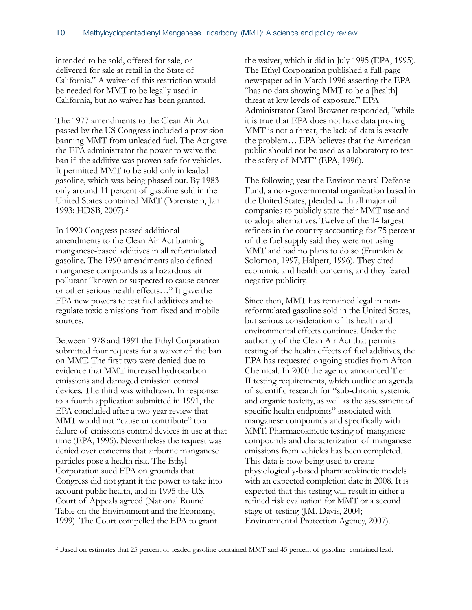intended to be sold, offered for sale, or delivered for sale at retail in the State of California." A waiver of this restriction would be needed for MMT to be legally used in California, but no waiver has been granted.

The 1977 amendments to the Clean Air Act passed by the US Congress included a provision banning MMT from unleaded fuel. The Act gave the EPA administrator the power to waive the ban if the additive was proven safe for vehicles. It permitted MMT to be sold only in leaded gasoline, which was being phased out. By 1983 only around 11 percent of gasoline sold in the United States contained MMT (Borenstein, Jan 1993; HDSB, 2007)[.2](#page-12-0)

In 1990 Congress passed additional amendments to the Clean Air Act banning manganese-based additives in all reformulated gasoline. The 1990 amendments also defined manganese compounds as a hazardous air pollutant "known or suspected to cause cancer or other serious health effects…" It gave the EPA new powers to test fuel additives and to regulate toxic emissions from fixed and mobile sources.

Between 1978 and 1991 the Ethyl Corporation submitted four requests for a waiver of the ban on MMT. The first two were denied due to evidence that MMT increased hydrocarbon emissions and damaged emission control devices. The third was withdrawn. In response to a fourth application submitted in 1991, the EPA concluded after a two-year review that MMT would not "cause or contribute" to a failure of emissions control devices in use at that time (EPA, 1995). Nevertheless the request was denied over concerns that airborne manganese particles pose a health risk. The Ethyl Corporation sued EPA on grounds that Congress did not grant it the power to take into account public health, and in 1995 the U.S. Court of Appeals agreed (National Round Table on the Environment and the Economy, 1999). The Court compelled the EPA to grant

the waiver, which it did in July 1995 (EPA, 1995). The Ethyl Corporation published a full-page newspaper ad in March 1996 asserting the EPA "has no data showing MMT to be a [health] threat at low levels of exposure." EPA Administrator Carol Browner responded, "while it is true that EPA does not have data proving MMT is not a threat, the lack of data is exactly the problem… EPA believes that the American public should not be used as a laboratory to test the safety of MMT" (EPA, 1996).

The following year the Environmental Defense Fund, a non-governmental organization based in the United States, pleaded with all major oil companies to publicly state their MMT use and to adopt alternatives. Twelve of the 14 largest refiners in the country accounting for 75 percent of the fuel supply said they were not using MMT and had no plans to do so (Frumkin & Solomon, 1997; Halpert, 1996). They cited economic and health concerns, and they feared negative publicity.

Since then, MMT has remained legal in nonreformulated gasoline sold in the United States, but serious consideration of its health and environmental effects continues. Under the authority of the Clean Air Act that permits testing of the health effects of fuel additives, the EPA has requested ongoing studies from Afton Chemical. In 2000 the agency announced Tier II testing requirements, which outline an agenda of scientific research for "sub-chronic systemic and organic toxicity, as well as the assessment of specific health endpoints" associated with manganese compounds and specifically with MMT. Pharmacokinetic testing of manganese compounds and characterization of manganese emissions from vehicles has been completed. This data is now being used to create physiologically-based pharmacokinetic models with an expected completion date in 2008. It is expected that this testing will result in either a refined risk evaluation for MMT or a second stage of testing (J.M. Davis, 2004; Environmental Protection Agency, 2007).

<span id="page-12-0"></span><sup>2</sup> Based on estimates that 25 percent of leaded gasoline contained MMT and 45 percent of gasoline contained lead.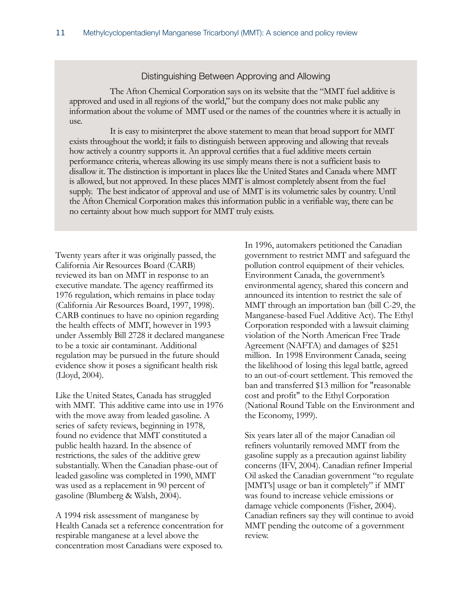#### Distinguishing Between Approving and Allowing

 The Afton Chemical Corporation says on its website that the "MMT fuel additive is approved and used in all regions of the world," but the company does not make public any information about the volume of MMT used or the names of the countries where it is actually in use.

 It is easy to misinterpret the above statement to mean that broad support for MMT exists throughout the world; it fails to distinguish between approving and allowing that reveals how actively a country supports it. An approval certifies that a fuel additive meets certain performance criteria, whereas allowing its use simply means there is not a sufficient basis to disallow it. The distinction is important in places like the United States and Canada where MMT is allowed, but not approved. In these places MMT is almost completely absent from the fuel supply. The best indicator of approval and use of MMT is its volumetric sales by country. Until the Afton Chemical Corporation makes this information public in a verifiable way, there can be no certainty about how much support for MMT truly exists.

Twenty years after it was originally passed, the California Air Resources Board (CARB) reviewed its ban on MMT in response to an executive mandate. The agency reaffirmed its 1976 regulation, which remains in place today (California Air Resources Board, 1997, 1998). CARB continues to have no opinion regarding the health effects of MMT, however in 1993 under Assembly Bill 2728 it declared manganese to be a toxic air contaminant. Additional regulation may be pursued in the future should evidence show it poses a significant health risk (Lloyd, 2004).

Like the United States, Canada has struggled with MMT. This additive came into use in 1976 with the move away from leaded gasoline. A series of safety reviews, beginning in 1978, found no evidence that MMT constituted a public health hazard. In the absence of restrictions, the sales of the additive grew substantially. When the Canadian phase-out of leaded gasoline was completed in 1990, MMT was used as a replacement in 90 percent of gasoline (Blumberg & Walsh, 2004).

A 1994 risk assessment of manganese by Health Canada set a reference concentration for respirable manganese at a level above the concentration most Canadians were exposed to.

In 1996, automakers petitioned the Canadian government to restrict MMT and safeguard the pollution control equipment of their vehicles. Environment Canada, the government's environmental agency, shared this concern and announced its intention to restrict the sale of MMT through an importation ban (bill C-29, the Manganese-based Fuel Additive Act). The Ethyl Corporation responded with a lawsuit claiming violation of the North American Free Trade Agreement (NAFTA) and damages of \$251 million. In 1998 Environment Canada, seeing the likelihood of losing this legal battle, agreed to an out-of-court settlement. This removed the ban and transferred \$13 million for "reasonable cost and profit" to the Ethyl Corporation (National Round Table on the Environment and the Economy, 1999).

Six years later all of the major Canadian oil refiners voluntarily removed MMT from the gasoline supply as a precaution against liability concerns (IFV, 2004). Canadian refiner Imperial Oil asked the Canadian government "to regulate [MMT's] usage or ban it completely" if MMT was found to increase vehicle emissions or damage vehicle components (Fisher, 2004). Canadian refiners say they will continue to avoid MMT pending the outcome of a government review.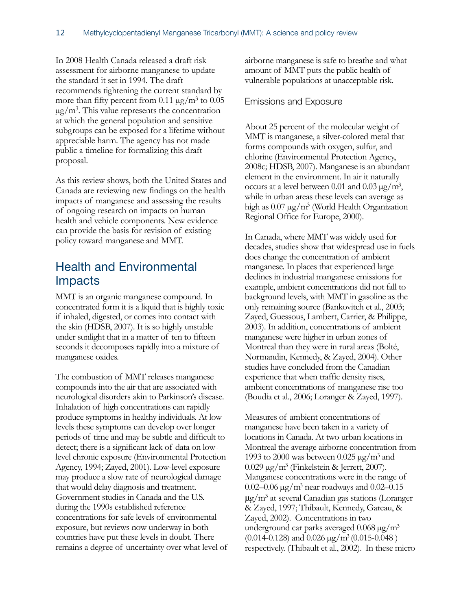In 2008 Health Canada released a draft risk assessment for airborne manganese to update the standard it set in 1994. The draft recommends tightening the current standard by more than fifty percent from  $0.11 \mu g/m^3$  to  $0.05$  $\mu$ g/m<sup>3</sup>. This value represents the concentration at which the general population and sensitive subgroups can be exposed for a lifetime without appreciable harm. The agency has not made public a timeline for formalizing this draft proposal.

As this review shows, both the United States and Canada are reviewing new findings on the health impacts of manganese and assessing the results of ongoing research on impacts on human health and vehicle components. New evidence can provide the basis for revision of existing policy toward manganese and MMT.

### <span id="page-14-0"></span>Health and Environmental Impacts

MMT is an organic manganese compound. In concentrated form it is a liquid that is highly toxic if inhaled, digested, or comes into contact with the skin (HDSB, 2007). It is so highly unstable under sunlight that in a matter of ten to fifteen seconds it decomposes rapidly into a mixture of manganese oxides.

The combustion of MMT releases manganese compounds into the air that are associated with neurological disorders akin to Parkinson's disease. Inhalation of high concentrations can rapidly produce symptoms in healthy individuals. At low levels these symptoms can develop over longer periods of time and may be subtle and difficult to detect; there is a significant lack of data on lowlevel chronic exposure (Environmental Protection Agency, 1994; Zayed, 2001). Low-level exposure may produce a slow rate of neurological damage that would delay diagnosis and treatment. Government studies in Canada and the U.S. during the 1990s established reference concentrations for safe levels of environmental exposure, but reviews now underway in both countries have put these levels in doubt. There remains a degree of uncertainty over what level of airborne manganese is safe to breathe and what amount of MMT puts the public health of vulnerable populations at unacceptable risk.

#### <span id="page-14-1"></span>Emissions and Exposure

About 25 percent of the molecular weight of MMT is manganese, a silver-colored metal that forms compounds with oxygen, sulfur, and chlorine (Environmental Protection Agency, 2008c; HDSB, 2007). Manganese is an abundant element in the environment. In air it naturally occurs at a level between 0.01 and 0.03  $\mu$ g/m<sup>3</sup>, while in urban areas these levels can average as high as  $0.07 \mu g/m^3$  (World Health Organization Regional Office for Europe, 2000).

In Canada, where MMT was widely used for decades, studies show that widespread use in fuels does change the concentration of ambient manganese. In places that experienced large declines in industrial manganese emissions for example, ambient concentrations did not fall to background levels, with MMT in gasoline as the only remaining source (Bankovitch et al., 2003; Zayed, Guessous, Lambert, Carrier, & Philippe, 2003). In addition, concentrations of ambient manganese were higher in urban zones of Montreal than they were in rural areas (Bolté, Normandin, Kennedy, & Zayed, 2004). Other studies have concluded from the Canadian experience that when traffic density rises, ambient concentrations of manganese rise too (Boudia et al., 2006; Loranger & Zayed, 1997).

Measures of ambient concentrations of manganese have been taken in a variety of locations in Canada. At two urban locations in Montreal the average airborne concentration from 1993 to 2000 was between 0.025  $\mu$ g/m<sup>3</sup> and  $0.029 \,\mathrm{\upmu g/m^3}$  (Finkelstein & Jerrett, 2007). Manganese concentrations were in the range of 0.02–0.06  $\mu\text{g}/\text{m}^3$  near roadways and 0.02–0.15  $\mu$ g/m<sup>3</sup> at several Canadian gas stations (Loranger & Zayed, 1997; Thibault, Kennedy, Gareau, & Zayed, 2002). Concentrations in two underground car parks averaged  $0.068 \,\mathrm{\mu g/m^3}$  $(0.014 - 0.128)$  and  $0.026 \mu g/m^3 (0.015 - 0.048)$ respectively. (Thibault et al., 2002). In these micro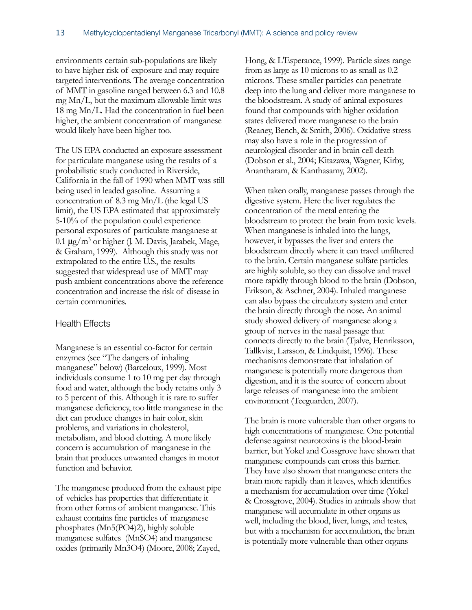environments certain sub-populations are likely to have higher risk of exposure and may require targeted interventions. The average concentration of MMT in gasoline ranged between 6.3 and 10.8 mg Mn/L, but the maximum allowable limit was 18 mg Mn/L. Had the concentration in fuel been higher, the ambient concentration of manganese would likely have been higher too.

The US EPA conducted an exposure assessment for particulate manganese using the results of a probabilistic study conducted in Riverside, California in the fall of 1990 when MMT was still being used in leaded gasoline. Assuming a concentration of 8.3 mg Mn/L (the legal US limit), the US EPA estimated that approximately 5-10% of the population could experience personal exposures of particulate manganese at 0.1  $\mu$ g/m<sup>3</sup> or higher (J. M. Davis, Jarabek, Mage, & Graham, 1999). Although this study was not extrapolated to the entire U.S., the results suggested that widespread use of MMT may push ambient concentrations above the reference concentration and increase the risk of disease in certain communities.

#### <span id="page-15-0"></span>Health Effects

Manganese is an essential co-factor for certain enzymes (see "The dangers of inhaling manganese" below) (Barceloux, 1999). Most individuals consume 1 to 10 mg per day through food and water, although the body retains only 3 to 5 percent of this. Although it is rare to suffer manganese deficiency, too little manganese in the diet can produce changes in hair color, skin problems, and variations in cholesterol, metabolism, and blood clotting. A more likely concern is accumulation of manganese in the brain that produces unwanted changes in motor function and behavior.

The manganese produced from the exhaust pipe of vehicles has properties that differentiate it from other forms of ambient manganese. This exhaust contains fine particles of manganese phosphates (Mn5(PO4)2), highly soluble manganese sulfates (MnSO4) and manganese oxides (primarily Mn3O4) (Moore, 2008; Zayed,

Hong, & L'Esperance, 1999). Particle sizes range from as large as 10 microns to as small as 0.2 microns. These smaller particles can penetrate deep into the lung and deliver more manganese to the bloodstream. A study of animal exposures found that compounds with higher oxidation states delivered more manganese to the brain (Reaney, Bench, & Smith, 2006). Oxidative stress may also have a role in the progression of neurological disorder and in brain cell death (Dobson et al., 2004; Kitazawa, Wagner, Kirby, Anantharam, & Kanthasamy, 2002).

When taken orally, manganese passes through the digestive system. Here the liver regulates the concentration of the metal entering the bloodstream to protect the brain from toxic levels. When manganese is inhaled into the lungs, however, it bypasses the liver and enters the bloodstream directly where it can travel unfiltered to the brain. Certain manganese sulfate particles are highly soluble, so they can dissolve and travel more rapidly through blood to the brain (Dobson, Erikson, & Aschner, 2004). Inhaled manganese can also bypass the circulatory system and enter the brain directly through the nose. An animal study showed delivery of manganese along a group of nerves in the nasal passage that connects directly to the brain (Tjalve, Henriksson, Tallkvist, Larsson, & Lindquist, 1996). These mechanisms demonstrate that inhalation of manganese is potentially more dangerous than digestion, and it is the source of concern about large releases of manganese into the ambient environment (Teeguarden, 2007).

The brain is more vulnerable than other organs to high concentrations of manganese. One potential defense against neurotoxins is the blood-brain barrier, but Yokel and Cossgrove have shown that manganese compounds can cross this barrier. They have also shown that manganese enters the brain more rapidly than it leaves, which identifies a mechanism for accumulation over time (Yokel & Crossgrove, 2004). Studies in animals show that manganese will accumulate in other organs as well, including the blood, liver, lungs, and testes, but with a mechanism for accumulation, the brain is potentially more vulnerable than other organs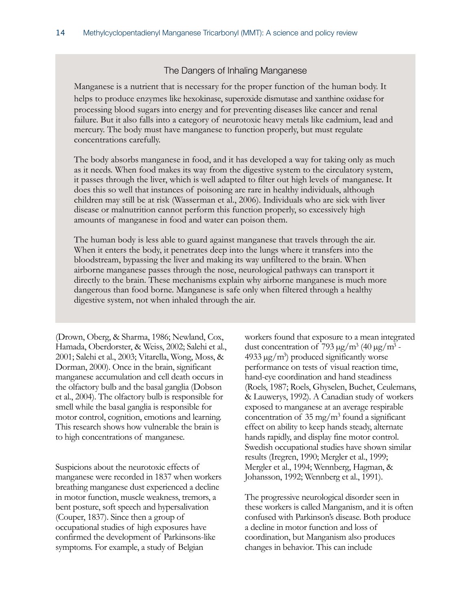#### The Dangers of Inhaling Manganese

Manganese is a nutrient that is necessary for the proper function of the human body. It helps to produce enzymes like hexokinase, superoxide dismutase and xanthine oxidase for processing blood sugars into energy and for preventing diseases like cancer and renal failure. But it also falls into a category of neurotoxic heavy metals like cadmium, lead and mercury. The body must have manganese to function properly, but must regulate concentrations carefully.

 The body absorbs manganese in food, and it has developed a way for taking only as much as it needs. When food makes its way from the digestive system to the circulatory system, it passes through the liver, which is well adapted to filter out high levels of manganese. It does this so well that instances of poisoning are rare in healthy individuals, although children may still be at risk (Wasserman et al., 2006). Individuals who are sick with liver disease or malnutrition cannot perform this function properly, so excessively high amounts of manganese in food and water can poison them.

 The human body is less able to guard against manganese that travels through the air. When it enters the body, it penetrates deep into the lungs where it transfers into the bloodstream, bypassing the liver and making its way unfiltered to the brain. When airborne manganese passes through the nose, neurological pathways can transport it directly to the brain. These mechanisms explain why airborne manganese is much more dangerous than food borne. Manganese is safe only when filtered through a healthy digestive system, not when inhaled through the air.

(Drown, Oberg, & Sharma, 1986; Newland, Cox, Hamada, Oberdorster, & Weiss, 2002; Salehi et al., 2001; Salehi et al., 2003; Vitarella, Wong, Moss, & Dorman, 2000). Once in the brain, significant manganese accumulation and cell death occurs in the olfactory bulb and the basal ganglia (Dobson et al., 2004). The olfactory bulb is responsible for smell while the basal ganglia is responsible for motor control, cognition, emotions and learning. This research shows how vulnerable the brain is to high concentrations of manganese.

Suspicions about the neurotoxic effects of manganese were recorded in 1837 when workers breathing manganese dust experienced a decline in motor function, muscle weakness, tremors, a bent posture, soft speech and hypersalivation (Couper, 1837). Since then a group of occupational studies of high exposures have confirmed the development of Parkinsons-like symptoms. For example, a study of Belgian

workers found that exposure to a mean integrated dust concentration of 793  $\mu$ g/m<sup>3</sup> (40  $\mu$ g/m<sup>3</sup> - $4933 \mu$ g/m<sup>3</sup>) produced significantly worse performance on tests of visual reaction time, hand-eye coordination and hand steadiness (Roels, 1987; Roels, Ghyselen, Buchet, Ceulemans, & Lauwerys, 1992). A Canadian study of workers exposed to manganese at an average respirable concentration of  $35 \text{ mg/m}^3$  found a significant effect on ability to keep hands steady, alternate hands rapidly, and display fine motor control. Swedish occupational studies have shown similar results (Iregren, 1990; Mergler et al., 1999; Mergler et al., 1994; Wennberg, Hagman, & Johansson, 1992; Wennberg et al., 1991).

The progressive neurological disorder seen in these workers is called Manganism, and it is often confused with Parkinson's disease. Both produce a decline in motor function and loss of coordination, but Manganism also produces changes in behavior. This can include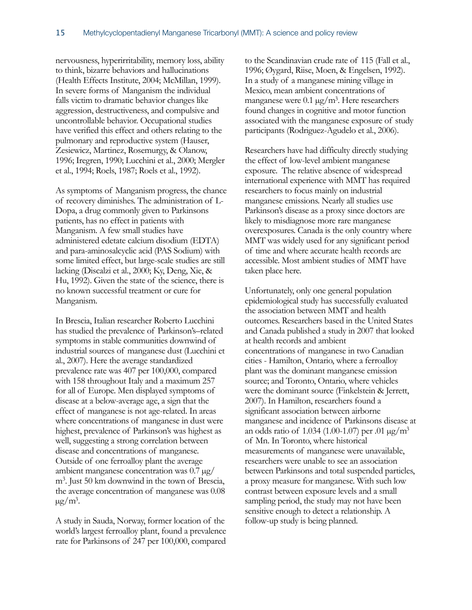nervousness, hyperirritability, memory loss, ability to think, bizarre behaviors and hallucinations (Health Effects Institute, 2004; McMillan, 1999). In severe forms of Manganism the individual falls victim to dramatic behavior changes like aggression, destructiveness, and compulsive and uncontrollable behavior. Occupational studies have verified this effect and others relating to the pulmonary and reproductive system (Hauser, Zesiewicz, Martinez, Rosemurgy, & Olanow, 1996; Iregren, 1990; Lucchini et al., 2000; Mergler et al., 1994; Roels, 1987; Roels et al., 1992).

As symptoms of Manganism progress, the chance of recovery diminishes. The administration of L-Dopa, a drug commonly given to Parkinsons patients, has no effect in patients with Manganism. A few small studies have administered edetate calcium disodium (EDTA) and para-aminosalcyclic acid (PAS Sodium) with some limited effect, but large-scale studies are still lacking (Discalzi et al., 2000; Ky, Deng, Xie, & Hu, 1992). Given the state of the science, there is no known successful treatment or cure for Manganism.

In Brescia, Italian researcher Roberto Lucchini has studied the prevalence of Parkinson's–related symptoms in stable communities downwind of industrial sources of manganese dust (Lucchini et al., 2007). Here the average standardized prevalence rate was 407 per 100,000, compared with 158 throughout Italy and a maximum 257 for all of Europe. Men displayed symptoms of disease at a below-average age, a sign that the effect of manganese is not age-related. In areas where concentrations of manganese in dust were highest, prevalence of Parkinson's was highest as well, suggesting a strong correlation between disease and concentrations of manganese. Outside of one ferroalloy plant the average ambient manganese concentration was 0.7 µg/ m<sup>3</sup>. Just 50 km downwind in the town of Brescia, the average concentration of manganese was 0.08  $\mu$ g/m<sup>3</sup>.

A study in Sauda, Norway, former location of the world's largest ferroalloy plant, found a prevalence rate for Parkinsons of 247 per 100,000, compared to the Scandinavian crude rate of 115 (Fall et al., 1996; Øygard, Riise, Moen, & Engelsen, 1992). In a study of a manganese mining village in Mexico, mean ambient concentrations of manganese were  $0.1 \mu g/m^3$ . Here researchers found changes in cognitive and motor function associated with the manganese exposure of study participants (Rodriguez-Agudelo et al., 2006).

Researchers have had difficulty directly studying the effect of low-level ambient manganese exposure. The relative absence of widespread international experience with MMT has required researchers to focus mainly on industrial manganese emissions. Nearly all studies use Parkinson's disease as a proxy since doctors are likely to misdiagnose more rare manganese overexposures. Canada is the only country where MMT was widely used for any significant period of time and where accurate health records are accessible. Most ambient studies of MMT have taken place here.

Unfortunately, only one general population epidemiological study has successfully evaluated the association between MMT and health outcomes. Researchers based in the United States and Canada published a study in 2007 that looked at health records and ambient concentrations of manganese in two Canadian cities - Hamilton, Ontario, where a ferroalloy plant was the dominant manganese emission source; and Toronto, Ontario, where vehicles were the dominant source (Finkelstein & Jerrett, 2007). In Hamilton, researchers found a significant association between airborne manganese and incidence of Parkinsons disease at an odds ratio of 1.034 (1.00-1.07) per .01  $\mu$ g/m<sup>3</sup> of Mn. In Toronto, where historical measurements of manganese were unavailable, researchers were unable to see an association between Parkinsons and total suspended particles, a proxy measure for manganese. With such low contrast between exposure levels and a small sampling period, the study may not have been sensitive enough to detect a relationship. A follow-up study is being planned.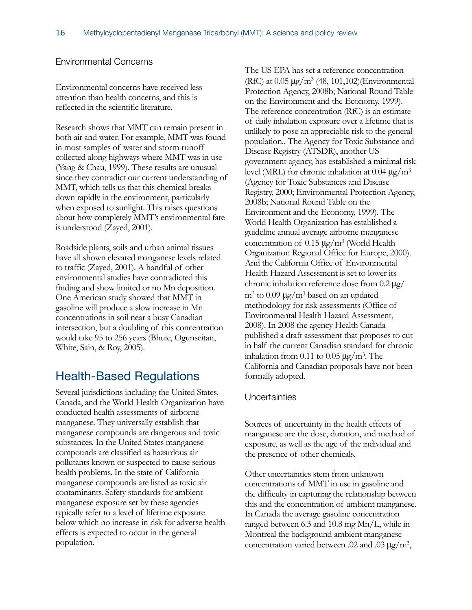#### <span id="page-18-0"></span>Environmental Concerns

Environmental concerns have received less attention than health concerns, and this is reflected in the scientific literature.

Research shows that MMT can remain present in both air and water. For example, MMT was found in most samples of water and storm runoff collected along highways where MMT was in use (Yang & Chau, 1999). These results are unusual since they contradict our current understanding of MMT, which tells us that this chemical breaks down rapidly in the environment, particularly when exposed to sunlight. This raises questions about how completely MMT's environmental fate is understood (Zayed, 2001).

Roadside plants, soils and urban animal tissues have all shown elevated manganese levels related to traffic (Zayed, 2001). A handful of other environmental studies have contradicted this finding and show limited or no Mn deposition. One American study showed that MMT in gasoline will produce a slow increase in Mn concentrations in soil near a busy Canadian intersection, but a doubling of this concentration would take 95 to 256 years (Bhuie, Ogunseitan, White, Sain, & Roy, 2005).

### <span id="page-18-1"></span>Health-Based Regulations

Several jurisdictions including the United States, Canada, and the World Health Organization have conducted health assessments of airborne manganese. They universally establish that manganese compounds are dangerous and toxic substances. In the United States manganese compounds are classified as hazardous air pollutants known or suspected to cause serious health problems. In the state of California manganese compounds are listed as toxic air contaminants. Safety standards for ambient manganese exposure set by these agencies typically refer to a level of lifetime exposure below which no increase in risk for adverse health effects is expected to occur in the general population.

The US EPA has set a reference concentration (RfC) at  $0.05 \mu\text{g/m}^3$  (48, 101, 102)(Environmental Protection Agency, 2008b; National Round Table on the Environment and the Economy, 1999). The reference concentration (RfC) is an estimate of daily inhalation exposure over a lifetime that is unlikely to pose an appreciable risk to the general population.. The Agency for Toxic Substance and Disease Registry (ATSDR), another US government agency, has established a minimal risk level (MRL) for chronic inhalation at  $0.04 \mu g/m^3$ (Agency for Toxic Substances and Disease Registry, 2000; Environmental Protection Agency, 2008b; National Round Table on the Environment and the Economy, 1999). The World Health Organization has established a guideline annual average airborne manganese concentration of  $0.15 \mu g/m^3$  (World Health Organization Regional Office for Europe, 2000). And the California Office of Environmental Health Hazard Assessment is set to lower its chronic inhalation reference dose from 0.2 μg/  $m<sup>3</sup>$  to 0.09 μg/m<sup>3</sup> based on an updated methodology for risk assessments (Office of Environmental Health Hazard Assessment, 2008). In 2008 the agency Health Canada published a draft assessment that proposes to cut in half the current Canadian standard for chronic inhalation from 0.11 to 0.05  $\mu$ g/m<sup>3</sup>. The California and Canadian proposals have not been formally adopted.

#### <span id="page-18-2"></span>**Uncertainties**

Sources of uncertainty in the health effects of manganese are the dose, duration, and method of exposure, as well as the age of the individual and the presence of other chemicals.

Other uncertainties stem from unknown concentrations of MMT in use in gasoline and the difficulty in capturing the relationship between this and the concentration of ambient manganese. In Canada the average gasoline concentration ranged between 6.3 and 10.8 mg Mn/L, while in Montreal the background ambient manganese concentration varied between .02 and .03  $\mu$ g/m<sup>3</sup>,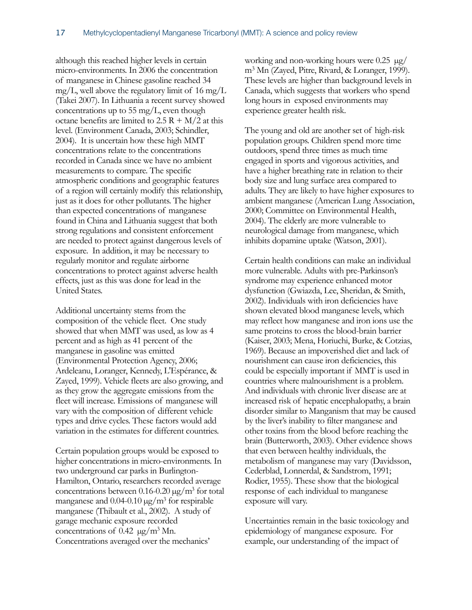although this reached higher levels in certain micro-environments. In 2006 the concentration of manganese in Chinese gasoline reached 34 mg/L, well above the regulatory limit of 16 mg/L (Takei 2007). In Lithuania a recent survey showed concentrations up to 55 mg/L, even though octane benefits are limited to  $2.5 R + M/2$  at this level. (Environment Canada, 2003; Schindler, 2004). It is uncertain how these high MMT concentrations relate to the concentrations recorded in Canada since we have no ambient measurements to compare. The specific atmospheric conditions and geographic features of a region will certainly modify this relationship, just as it does for other pollutants. The higher than expected concentrations of manganese found in China and Lithuania suggest that both strong regulations and consistent enforcement are needed to protect against dangerous levels of exposure. In addition, it may be necessary to regularly monitor and regulate airborne concentrations to protect against adverse health effects, just as this was done for lead in the United States.

Additional uncertainty stems from the composition of the vehicle fleet. One study showed that when MMT was used, as low as 4 percent and as high as 41 percent of the manganese in gasoline was emitted (Environmental Protection Agency, 2006; Ardeleanu, Loranger, Kennedy, L'Espérance, & Zayed, 1999). Vehicle fleets are also growing, and as they grow the aggregate emissions from the fleet will increase. Emissions of manganese will vary with the composition of different vehicle types and drive cycles. These factors would add variation in the estimates for different countries.

Certain population groups would be exposed to higher concentrations in micro-environments. In two underground car parks in Burlington-Hamilton, Ontario, researchers recorded average concentrations between  $0.16$ - $0.20 \mu g/m^3$  for total manganese and  $0.04-0.10 \mu g/m^3$  for respirable manganese (Thibault et al., 2002). A study of garage mechanic exposure recorded concentrations of  $0.42 \mu g/m^3 Mn$ . Concentrations averaged over the mechanics'

working and non-working hours were  $0.25 \mu g$ m3 Mn (Zayed, Pitre, Rivard, & Loranger, 1999). These levels are higher than background levels in Canada, which suggests that workers who spend long hours in exposed environments may experience greater health risk.

The young and old are another set of high-risk population groups. Children spend more time outdoors, spend three times as much time engaged in sports and vigorous activities, and have a higher breathing rate in relation to their body size and lung surface area compared to adults. They are likely to have higher exposures to ambient manganese (American Lung Association, 2000; Committee on Environmental Health, 2004). The elderly are more vulnerable to neurological damage from manganese, which inhibits dopamine uptake (Watson, 2001).

Certain health conditions can make an individual more vulnerable. Adults with pre-Parkinson's syndrome may experience enhanced motor dysfunction (Gwiazda, Lee, Sheridan, & Smith, 2002). Individuals with iron deficiencies have shown elevated blood manganese levels, which may reflect how manganese and iron ions use the same proteins to cross the blood-brain barrier (Kaiser, 2003; Mena, Horiuchi, Burke, & Cotzias, 1969). Because an impoverished diet and lack of nourishment can cause iron deficiencies, this could be especially important if MMT is used in countries where malnourishment is a problem. And individuals with chronic liver disease are at increased risk of hepatic encephalopathy, a brain disorder similar to Manganism that may be caused by the liver's inability to filter manganese and other toxins from the blood before reaching the brain (Butterworth, 2003). Other evidence shows that even between healthy individuals, the metabolism of manganese may vary (Davidsson, Cederblad, Lonnerdal, & Sandstrom, 1991; Rodier, 1955). These show that the biological response of each individual to manganese exposure will vary.

Uncertainties remain in the basic toxicology and epidemiology of manganese exposure. For example, our understanding of the impact of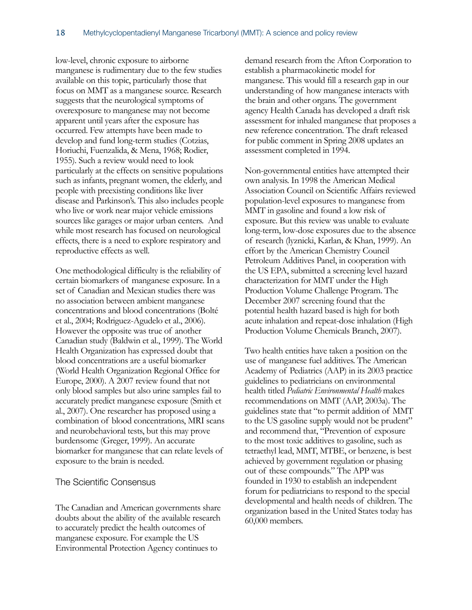low-level, chronic exposure to airborne manganese is rudimentary due to the few studies available on this topic, particularly those that focus on MMT as a manganese source. Research suggests that the neurological symptoms of overexposure to manganese may not become apparent until years after the exposure has occurred. Few attempts have been made to develop and fund long-term studies (Cotzias, Horiuchi, Fuenzalida, & Mena, 1968; Rodier, 1955). Such a review would need to look particularly at the effects on sensitive populations such as infants, pregnant women, the elderly, and people with preexisting conditions like liver disease and Parkinson's. This also includes people who live or work near major vehicle emissions sources like garages or major urban centers. And while most research has focused on neurological effects, there is a need to explore respiratory and reproductive effects as well.

One methodological difficulty is the reliability of certain biomarkers of manganese exposure. In a set of Canadian and Mexican studies there was no association between ambient manganese concentrations and blood concentrations (Bolté et al., 2004; Rodriguez-Agudelo et al., 2006). However the opposite was true of another Canadian study (Baldwin et al., 1999). The World Health Organization has expressed doubt that blood concentrations are a useful biomarker (World Health Organization Regional Office for Europe, 2000). A 2007 review found that not only blood samples but also urine samples fail to accurately predict manganese exposure (Smith et al., 2007). One researcher has proposed using a combination of blood concentrations, MRI scans and neurobehavioral tests, but this may prove burdensome (Greger, 1999). An accurate biomarker for manganese that can relate levels of exposure to the brain is needed.

#### <span id="page-20-0"></span>The Scientific Consensus

The Canadian and American governments share doubts about the ability of the available research to accurately predict the health outcomes of manganese exposure. For example the US Environmental Protection Agency continues to

demand research from the Afton Corporation to establish a pharmacokinetic model for manganese. This would fill a research gap in our understanding of how manganese interacts with the brain and other organs. The government agency Health Canada has developed a draft risk assessment for inhaled manganese that proposes a new reference concentration. The draft released for public comment in Spring 2008 updates an assessment completed in 1994.

Non-governmental entities have attempted their own analysis. In 1998 the American Medical Association Council on Scientific Affairs reviewed population-level exposures to manganese from MMT in gasoline and found a low risk of exposure. But this review was unable to evaluate long-term, low-dose exposures due to the absence of research (lyznicki, Karlan, & Khan, 1999). An effort by the American Chemistry Council Petroleum Additives Panel, in cooperation with the US EPA, submitted a screening level hazard characterization for MMT under the High Production Volume Challenge Program. The December 2007 screening found that the potential health hazard based is high for both acute inhalation and repeat-dose inhalation (High Production Volume Chemicals Branch, 2007).

Two health entities have taken a position on the use of manganese fuel additives. The American Academy of Pediatrics (AAP) in its 2003 practice guidelines to pediatricians on environmental health titled *Pediatric Environmental Health* makes recommendations on MMT (AAP, 2003a). The guidelines state that "to permit addition of MMT to the US gasoline supply would not be prudent" and recommend that, "Prevention of exposure to the most toxic additives to gasoline, such as tetraethyl lead, MMT, MTBE, or benzene, is best achieved by government regulation or phasing out of these compounds." The APP was founded in 1930 to establish an independent forum for pediatricians to respond to the special developmental and health needs of children. The organization based in the United States today has 60,000 members.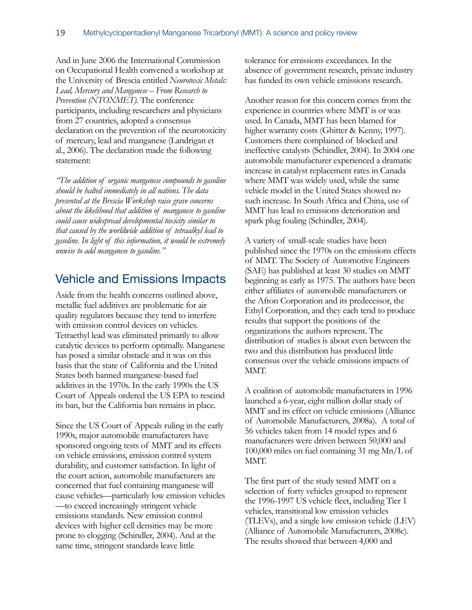And in June 2006 the International Commission on Occupational Health convened a workshop at the University of Brescia entitled *Neurotoxic Metals: Lead, Mercury and Manganese – From Research to Prevention (NTOXMET)*. The conference participants, including researchers and physicians from 27 countries, adopted a consensus declaration on the prevention of the neurotoxicity of mercury, lead and manganese (Landrigan et al., 2006). The declaration made the following statement:

*"The addition of organic manganese compounds to gasoline should be halted immediately in all nations. The data presented at the Brescia Workshop raise grave concerns about the likelihood that addition of manganese to gasoline could cause widespread developmental toxicity similar to that caused by the worldwide addition of tetraalkyl lead to gasoline. In light of this information, it would be extremely unwise to add manganese to gasoline."*

### <span id="page-21-0"></span>Vehicle and Emissions Impacts

Aside from the health concerns outlined above, metallic fuel additives are problematic for air quality regulators because they tend to interfere with emission control devices on vehicles. Tetraethyl lead was eliminated primarily to allow catalytic devices to perform optimally. Manganese has posed a similar obstacle and it was on this basis that the state of California and the United States both banned manganese-based fuel additives in the 1970s. In the early 1990s the US Court of Appeals ordered the US EPA to rescind its ban, but the California ban remains in place.

Since the US Court of Appeals ruling in the early 1990s, major automobile manufacturers have sponsored ongoing tests of MMT and its effects on vehicle emissions, emission control system durability, and customer satisfaction. In light of the court action, automobile manufacturers are concerned that fuel containing manganese will cause vehicles—particularly low emission vehicles —to exceed increasingly stringent vehicle emissions standards. New emission control devices with higher cell densities may be more prone to clogging (Schindler, 2004). And at the same time, stringent standards leave little

tolerance for emissions exceedances. In the absence of government research, private industry has funded its own vehicle emissions research.

Another reason for this concern comes from the experience in countries where MMT is or was used. In Canada, MMT has been blamed for higher warranty costs (Ghitter & Kenny, 1997). Customers there complained of blocked and ineffective catalysts (Schindler, 2004). In 2004 one automobile manufacturer experienced a dramatic increase in catalyst replacement rates in Canada where MMT was widely used, while the same vehicle model in the United States showed no such increase. In South Africa and China, use of MMT has lead to emissions deterioration and spark plug fouling (Schindler, 2004).

A variety of small-scale studies have been published since the 1970s on the emissions effects of MMT. The Society of Automotive Engineers (SAE) has published at least 30 studies on MMT beginning as early as 1975. The authors have been either affiliates of automobile manufacturers or the Afton Corporation and its predecessor, the Ethyl Corporation, and they each tend to produce results that support the positions of the organizations the authors represent. The distribution of studies is about even between the two and this distribution has produced little consensus over the vehicle emissions impacts of MMT.

A coalition of automobile manufacturers in 1996 launched a 6-year, eight million dollar study of MMT and its effect on vehicle emissions (Alliance of Automobile Manufacturers, 2008a). A total of 56 vehicles taken from 14 model types and 6 manufacturers were driven between 50,000 and 100,000 miles on fuel containing 31 mg Mn/L of MMT.

The first part of the study tested MMT on a selection of forty vehicles grouped to represent the 1996-1997 US vehicle fleet, including Tier 1 vehicles, transitional low emission vehicles (TLEVs), and a single low emission vehicle (LEV) (Alliance of Automobile Manufacturers, 2008c). The results showed that between 4,000 and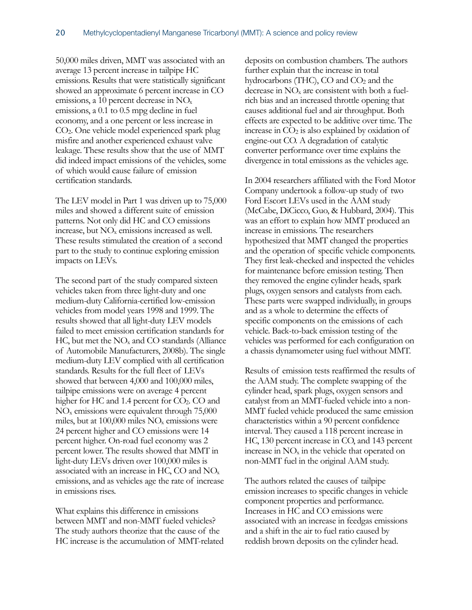50,000 miles driven, MMT was associated with an average 13 percent increase in tailpipe HC emissions. Results that were statistically significant showed an approximate 6 percent increase in CO emissions, a 10 percent decrease in NOx emissions, a 0.1 to 0.5 mpg decline in fuel economy, and a one percent or less increase in CO2. One vehicle model experienced spark plug misfire and another experienced exhaust valve leakage. These results show that the use of MMT did indeed impact emissions of the vehicles, some of which would cause failure of emission certification standards.

The LEV model in Part 1 was driven up to 75,000 miles and showed a different suite of emission patterns. Not only did HC and CO emissions increase, but NOx emissions increased as well. These results stimulated the creation of a second part to the study to continue exploring emission impacts on LEVs.

The second part of the study compared sixteen vehicles taken from three light-duty and one medium-duty California-certified low-emission vehicles from model years 1998 and 1999. The results showed that all light-duty LEV models failed to meet emission certification standards for HC, but met the  $NO<sub>x</sub>$  and CO standards (Alliance of Automobile Manufacturers, 2008b). The single medium-duty LEV complied with all certification standards. Results for the full fleet of LEVs showed that between 4,000 and 100,000 miles, tailpipe emissions were on average 4 percent higher for HC and 1.4 percent for  $CO<sub>2</sub>$ . CO and  $NO<sub>x</sub>$  emissions were equivalent through 75,000 miles, but at 100,000 miles NOx emissions were 24 percent higher and CO emissions were 14 percent higher. On-road fuel economy was 2 percent lower. The results showed that MMT in light-duty LEVs driven over 100,000 miles is associated with an increase in HC, CO and NOx emissions, and as vehicles age the rate of increase in emissions rises.

What explains this difference in emissions between MMT and non-MMT fueled vehicles? The study authors theorize that the cause of the HC increase is the accumulation of MMT-related

deposits on combustion chambers. The authors further explain that the increase in total hydrocarbons (THC),  $CO$  and  $CO<sub>2</sub>$  and the decrease in NOx are consistent with both a fuelrich bias and an increased throttle opening that causes additional fuel and air throughput. Both effects are expected to be additive over time. The increase in  $CO<sub>2</sub>$  is also explained by oxidation of engine-out CO. A degradation of catalytic converter performance over time explains the divergence in total emissions as the vehicles age.

In 2004 researchers affiliated with the Ford Motor Company undertook a follow-up study of two Ford Escort LEVs used in the AAM study (McCabe, DiCicco, Guo, & Hubbard, 2004). This was an effort to explain how MMT produced an increase in emissions. The researchers hypothesized that MMT changed the properties and the operation of specific vehicle components. They first leak-checked and inspected the vehicles for maintenance before emission testing. Then they removed the engine cylinder heads, spark plugs, oxygen sensors and catalysts from each. These parts were swapped individually, in groups and as a whole to determine the effects of specific components on the emissions of each vehicle. Back-to-back emission testing of the vehicles was performed for each configuration on a chassis dynamometer using fuel without MMT.

Results of emission tests reaffirmed the results of the AAM study. The complete swapping of the cylinder head, spark plugs, oxygen sensors and catalyst from an MMT-fueled vehicle into a non-MMT fueled vehicle produced the same emission characteristics within a 90 percent confidence interval. They caused a 118 percent increase in HC, 130 percent increase in CO, and 143 percent increase in  $NO<sub>x</sub>$  in the vehicle that operated on non-MMT fuel in the original AAM study.

The authors related the causes of tailpipe emission increases to specific changes in vehicle component properties and performance. Increases in HC and CO emissions were associated with an increase in feedgas emissions and a shift in the air to fuel ratio caused by reddish brown deposits on the cylinder head.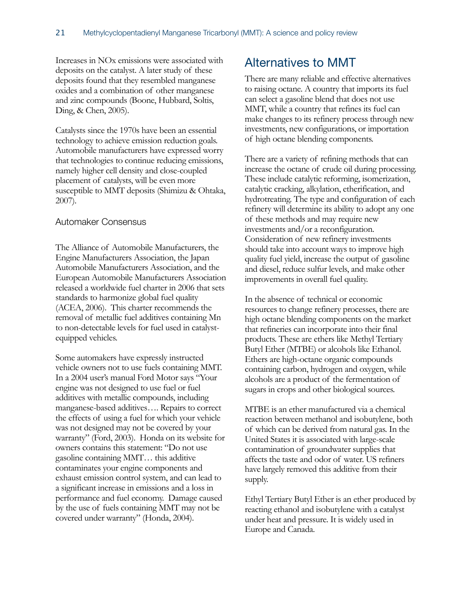Increases in NOx emissions were associated with deposits on the catalyst. A later study of these deposits found that they resembled manganese oxides and a combination of other manganese and zinc compounds (Boone, Hubbard, Soltis, Ding, & Chen, 2005).

Catalysts since the 1970s have been an essential technology to achieve emission reduction goals. Automobile manufacturers have expressed worry that technologies to continue reducing emissions, namely higher cell density and close-coupled placement of catalysts, will be even more susceptible to MMT deposits (Shimizu & Ohtaka, 2007).

#### <span id="page-23-0"></span>Automaker Consensus

The Alliance of Automobile Manufacturers, the Engine Manufacturers Association, the Japan Automobile Manufacturers Association, and the European Automobile Manufacturers Association released a worldwide fuel charter in 2006 that sets standards to harmonize global fuel quality (ACEA, 2006). This charter recommends the removal of metallic fuel additives containing Mn to non-detectable levels for fuel used in catalystequipped vehicles.

Some automakers have expressly instructed vehicle owners not to use fuels containing MMT. In a 2004 user's manual Ford Motor says "Your engine was not designed to use fuel or fuel additives with metallic compounds, including manganese-based additives…. Repairs to correct the effects of using a fuel for which your vehicle was not designed may not be covered by your warranty" (Ford, 2003). Honda on its website for owners contains this statement: "Do not use gasoline containing MMT… this additive contaminates your engine components and exhaust emission control system, and can lead to a significant increase in emissions and a loss in performance and fuel economy. Damage caused by the use of fuels containing MMT may not be covered under warranty" (Honda, 2004).

### <span id="page-23-1"></span>Alternatives to MMT

There are many reliable and effective alternatives to raising octane. A country that imports its fuel can select a gasoline blend that does not use MMT, while a country that refines its fuel can make changes to its refinery process through new investments, new configurations, or importation of high octane blending components.

There are a variety of refining methods that can increase the octane of crude oil during processing. These include catalytic reforming, isomerization, catalytic cracking, alkylation, etherification, and hydrotreating. The type and configuration of each refinery will determine its ability to adopt any one of these methods and may require new investments and/or a reconfiguration. Consideration of new refinery investments should take into account ways to improve high quality fuel yield, increase the output of gasoline and diesel, reduce sulfur levels, and make other improvements in overall fuel quality.

In the absence of technical or economic resources to change refinery processes, there are high octane blending components on the market that refineries can incorporate into their final products. These are ethers like Methyl Tertiary Butyl Ether (MTBE) or alcohols like Ethanol. Ethers are high-octane organic compounds containing carbon, hydrogen and oxygen, while alcohols are a product of the fermentation of sugars in crops and other biological sources.

MTBE is an ether manufactured via a chemical reaction between methanol and isobutylene, both of which can be derived from natural gas. In the United States it is associated with large-scale contamination of groundwater supplies that affects the taste and odor of water. US refiners have largely removed this additive from their supply.

Ethyl Tertiary Butyl Ether is an ether produced by reacting ethanol and isobutylene with a catalyst under heat and pressure. It is widely used in Europe and Canada.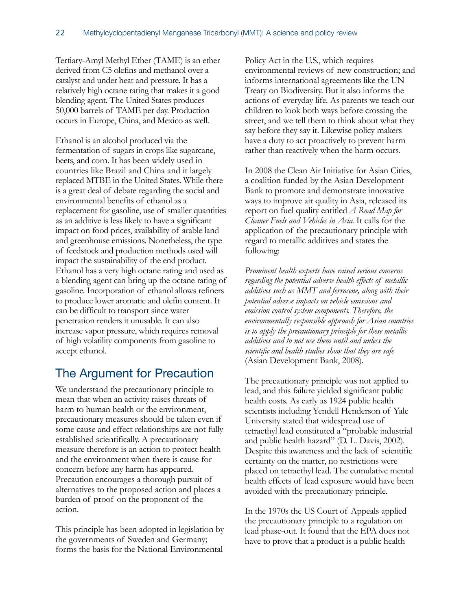Tertiary-Amyl Methyl Ether (TAME) is an ether derived from C5 olefins and methanol over a catalyst and under heat and pressure. It has a relatively high octane rating that makes it a good blending agent. The United States produces 50,000 barrels of TAME per day. Production occurs in Europe, China, and Mexico as well.

Ethanol is an alcohol produced via the fermentation of sugars in crops like sugarcane, beets, and corn. It has been widely used in countries like Brazil and China and it largely replaced MTBE in the United States. While there is a great deal of debate regarding the social and environmental benefits of ethanol as a replacement for gasoline, use of smaller quantities as an additive is less likely to have a significant impact on food prices, availability of arable land and greenhouse emissions. Nonetheless, the type of feedstock and production methods used will impact the sustainability of the end product. Ethanol has a very high octane rating and used as a blending agent can bring up the octane rating of gasoline. Incorporation of ethanol allows refiners to produce lower aromatic and olefin content. It can be difficult to transport since water penetration renders it unusable. It can also increase vapor pressure, which requires removal of high volatility components from gasoline to accept ethanol.

### <span id="page-24-0"></span>The Argument for Precaution

We understand the precautionary principle to mean that when an activity raises threats of harm to human health or the environment, precautionary measures should be taken even if some cause and effect relationships are not fully established scientifically. A precautionary measure therefore is an action to protect health and the environment when there is cause for concern before any harm has appeared. Precaution encourages a thorough pursuit of alternatives to the proposed action and places a burden of proof on the proponent of the action.

This principle has been adopted in legislation by the governments of Sweden and Germany; forms the basis for the National Environmental

Policy Act in the U.S., which requires environmental reviews of new construction; and informs international agreements like the UN Treaty on Biodiversity. But it also informs the actions of everyday life. As parents we teach our children to look both ways before crossing the street, and we tell them to think about what they say before they say it. Likewise policy makers have a duty to act proactively to prevent harm rather than reactively when the harm occurs.

In 2008 the Clean Air Initiative for Asian Cities, a coalition funded by the Asian Development Bank to promote and demonstrate innovative ways to improve air quality in Asia, released its report on fuel quality entitled *A Road Map for Cleaner Fuels and Vehicles in Asia*. It calls for the application of the precautionary principle with regard to metallic additives and states the following:

*Prominent health experts have raised serious concerns regarding the potential adverse health effects of metallic additives such as MMT and ferrocene, along with their potential adverse impacts on vehicle emissions and emission control system components. Therefore, the environmentally responsible approach for Asian countries is to apply the precautionary principle for these metallic additives and to not use them until and unless the scientific and health studies show that they are safe*  (Asian Development Bank, 2008).

The precautionary principle was not applied to lead, and this failure yielded significant public health costs. As early as 1924 public health scientists including Yendell Henderson of Yale University stated that widespread use of tetraethyl lead constituted a "probable industrial and public health hazard" (D. L. Davis, 2002). Despite this awareness and the lack of scientific certainty on the matter, no restrictions were placed on tetraethyl lead. The cumulative mental health effects of lead exposure would have been avoided with the precautionary principle.

In the 1970s the US Court of Appeals applied the precautionary principle to a regulation on lead phase-out. It found that the EPA does not have to prove that a product is a public health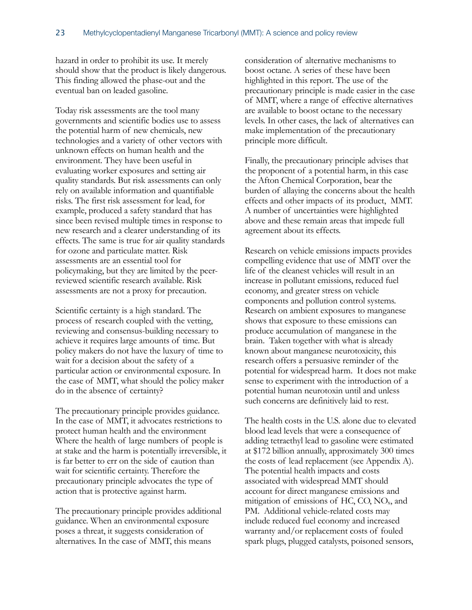hazard in order to prohibit its use. It merely should show that the product is likely dangerous. This finding allowed the phase-out and the eventual ban on leaded gasoline.

Today risk assessments are the tool many governments and scientific bodies use to assess the potential harm of new chemicals, new technologies and a variety of other vectors with unknown effects on human health and the environment. They have been useful in evaluating worker exposures and setting air quality standards. But risk assessments can only rely on available information and quantifiable risks. The first risk assessment for lead, for example, produced a safety standard that has since been revised multiple times in response to new research and a clearer understanding of its effects. The same is true for air quality standards for ozone and particulate matter. Risk assessments are an essential tool for policymaking, but they are limited by the peerreviewed scientific research available. Risk assessments are not a proxy for precaution.

Scientific certainty is a high standard. The process of research coupled with the vetting, reviewing and consensus-building necessary to achieve it requires large amounts of time. But policy makers do not have the luxury of time to wait for a decision about the safety of a particular action or environmental exposure. In the case of MMT, what should the policy maker do in the absence of certainty?

The precautionary principle provides guidance. In the case of MMT, it advocates restrictions to protect human health and the environment Where the health of large numbers of people is at stake and the harm is potentially irreversible, it is far better to err on the side of caution than wait for scientific certainty. Therefore the precautionary principle advocates the type of action that is protective against harm.

The precautionary principle provides additional guidance. When an environmental exposure poses a threat, it suggests consideration of alternatives. In the case of MMT, this means

consideration of alternative mechanisms to boost octane. A series of these have been highlighted in this report. The use of the precautionary principle is made easier in the case of MMT, where a range of effective alternatives are available to boost octane to the necessary levels. In other cases, the lack of alternatives can make implementation of the precautionary principle more difficult.

Finally, the precautionary principle advises that the proponent of a potential harm, in this case the Afton Chemical Corporation, bear the burden of allaying the concerns about the health effects and other impacts of its product, MMT. A number of uncertainties were highlighted above and these remain areas that impede full agreement about its effects.

Research on vehicle emissions impacts provides compelling evidence that use of MMT over the life of the cleanest vehicles will result in an increase in pollutant emissions, reduced fuel economy, and greater stress on vehicle components and pollution control systems. Research on ambient exposures to manganese shows that exposure to these emissions can produce accumulation of manganese in the brain. Taken together with what is already known about manganese neurotoxicity, this research offers a persuasive reminder of the potential for widespread harm. It does not make sense to experiment with the introduction of a potential human neurotoxin until and unless such concerns are definitively laid to rest.

The health costs in the U.S. alone due to elevated blood lead levels that were a consequence of adding tetraethyl lead to gasoline were estimated at \$172 billion annually, approximately 300 times the costs of lead replacement (see Appendix A). The potential health impacts and costs associated with widespread MMT should account for direct manganese emissions and mitigation of emissions of HC, CO, NOx, and PM. Additional vehicle-related costs may include reduced fuel economy and increased warranty and/or replacement costs of fouled spark plugs, plugged catalysts, poisoned sensors,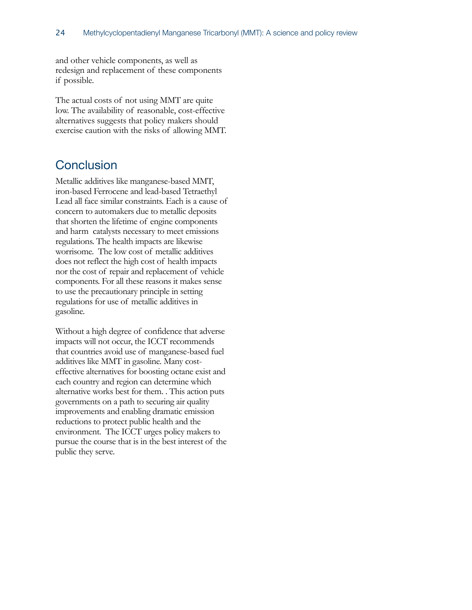and other vehicle components, as well as redesign and replacement of these components if possible.

The actual costs of not using MMT are quite low. The availability of reasonable, cost-effective alternatives suggests that policy makers should exercise caution with the risks of allowing MMT.

### <span id="page-26-0"></span>**Conclusion**

Metallic additives like manganese-based MMT, iron-based Ferrocene and lead-based Tetraethyl Lead all face similar constraints. Each is a cause of concern to automakers due to metallic deposits that shorten the lifetime of engine components and harm catalysts necessary to meet emissions regulations. The health impacts are likewise worrisome. The low cost of metallic additives does not reflect the high cost of health impacts nor the cost of repair and replacement of vehicle components. For all these reasons it makes sense to use the precautionary principle in setting regulations for use of metallic additives in gasoline.

Without a high degree of confidence that adverse impacts will not occur, the ICCT recommends that countries avoid use of manganese-based fuel additives like MMT in gasoline. Many costeffective alternatives for boosting octane exist and each country and region can determine which alternative works best for them. . This action puts governments on a path to securing air quality improvements and enabling dramatic emission reductions to protect public health and the environment. The ICCT urges policy makers to pursue the course that is in the best interest of the public they serve.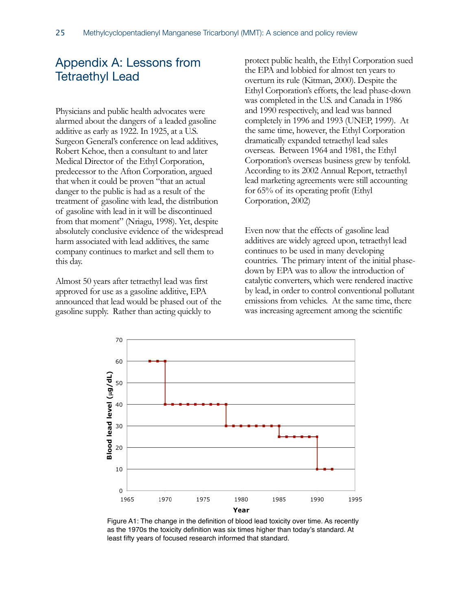### <span id="page-27-0"></span>Appendix A: Lessons from Tetraethyl Lead

Physicians and public health advocates were alarmed about the dangers of a leaded gasoline additive as early as 1922. In 1925, at a U.S. Surgeon General's conference on lead additives, Robert Kehoe, then a consultant to and later Medical Director of the Ethyl Corporation, predecessor to the Afton Corporation, argued that when it could be proven "that an actual danger to the public is had as a result of the treatment of gasoline with lead, the distribution of gasoline with lead in it will be discontinued from that moment" (Nriagu, 1998). Yet, despite absolutely conclusive evidence of the widespread harm associated with lead additives, the same company continues to market and sell them to this day.

Almost 50 years after tetraethyl lead was first approved for use as a gasoline additive, EPA announced that lead would be phased out of the gasoline supply. Rather than acting quickly to

protect public health, the Ethyl Corporation sued the EPA and lobbied for almost ten years to overturn its rule (Kitman, 2000). Despite the Ethyl Corporation's efforts, the lead phase-down was completed in the U.S. and Canada in 1986 and 1990 respectively, and lead was banned completely in 1996 and 1993 (UNEP, 1999). At the same time, however, the Ethyl Corporation dramatically expanded tetraethyl lead sales overseas. Between 1964 and 1981, the Ethyl Corporation's overseas business grew by tenfold. According to its 2002 Annual Report, tetraethyl lead marketing agreements were still accounting for 65% of its operating profit (Ethyl Corporation, 2002)

Even now that the effects of gasoline lead additives are widely agreed upon, tetraethyl lead continues to be used in many developing countries. The primary intent of the initial phasedown by EPA was to allow the introduction of catalytic converters, which were rendered inactive by lead, in order to control conventional pollutant emissions from vehicles. At the same time, there was increasing agreement among the scientific



Figure A1: The change in the definition of blood lead toxicity over time. As recently as the 1970s the toxicity definition was six times higher than today's standard. At least fifty years of focused research informed that standard.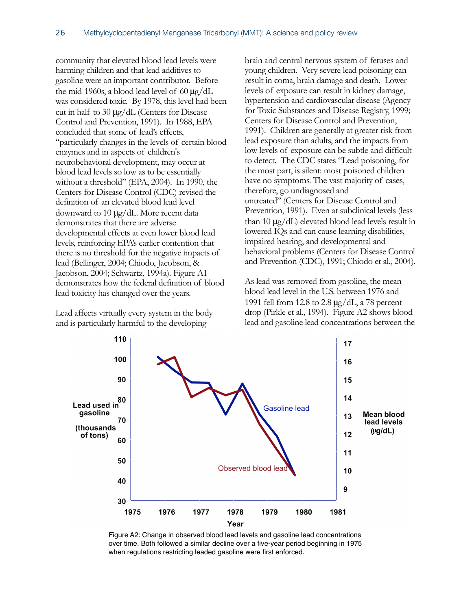community that elevated blood lead levels were harming children and that lead additives to gasoline were an important contributor. Before the mid-1960s, a blood lead level of 60  $\mu$ g/dL was considered toxic. By 1978, this level had been cut in half to 30 μg/dL (Centers for Disease Control and Prevention, 1991). In 1988, EPA concluded that some of lead's effects, "particularly changes in the levels of certain blood enzymes and in aspects of children's neurobehavioral development, may occur at blood lead levels so low as to be essentially without a threshold" (EPA, 2004). In 1990, the Centers for Disease Control (CDC) revised the definition of an elevated blood lead level downward to 10 μg/dL. More recent data demonstrates that there are adverse developmental effects at even lower blood lead levels, reinforcing EPA's earlier contention that there is no threshold for the negative impacts of lead (Bellinger, 2004; Chiodo, Jacobson, & Jacobson, 2004; Schwartz, 1994a). Figure A1 demonstrates how the federal definition of blood lead toxicity has changed over the years.

Lead affects virtually every system in the body and is particularly harmful to the developing

brain and central nervous system of fetuses and young children. Very severe lead poisoning can result in coma, brain damage and death. Lower levels of exposure can result in kidney damage, hypertension and cardiovascular disease (Agency for Toxic Substances and Disease Registry, 1999; Centers for Disease Control and Prevention, 1991). Children are generally at greater risk from lead exposure than adults, and the impacts from low levels of exposure can be subtle and difficult to detect. The CDC states "Lead poisoning, for the most part, is silent: most poisoned children have no symptoms. The vast majority of cases, therefore, go undiagnosed and untreated" (Centers for Disease Control and Prevention, 1991). Even at subclinical levels (less than 10  $\mu$ g/dL) elevated blood lead levels result in lowered IQs and can cause learning disabilities, impaired hearing, and developmental and behavioral problems (Centers for Disease Control and Prevention (CDC), 1991; Chiodo et al., 2004).

As lead was removed from gasoline, the mean blood lead level in the U.S. between 1976 and 1991 fell from 12.8 to 2.8 μg/dL, a 78 percent drop (Pirkle et al., 1994). Figure A2 shows blood lead and gasoline lead concentrations between the



Figure A2: Change in observed blood lead levels and gasoline lead concentrations over time. Both followed a similar decline over a five-year period beginning in 1975 when regulations restricting leaded gasoline were first enforced.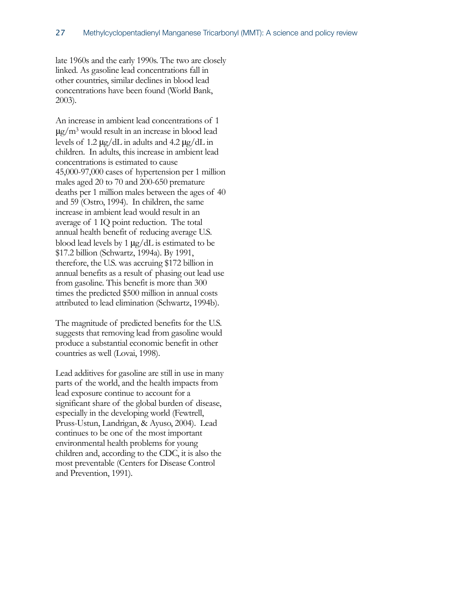late 1960s and the early 1990s. The two are closely linked. As gasoline lead concentrations fall in other countries, similar declines in blood lead concentrations have been found (World Bank, 2003).

An increase in ambient lead concentrations of 1 μg/m3 would result in an increase in blood lead levels of 1.2 μg/dL in adults and 4.2 μg/dL in children. In adults, this increase in ambient lead concentrations is estimated to cause 45,000-97,000 cases of hypertension per 1 million males aged 20 to 70 and 200-650 premature deaths per 1 million males between the ages of 40 and 59 (Ostro, 1994). In children, the same increase in ambient lead would result in an average of 1 IQ point reduction. The total annual health benefit of reducing average U.S. blood lead levels by 1 μg/dL is estimated to be \$17.2 billion (Schwartz, 1994a). By 1991, therefore, the U.S. was accruing \$172 billion in annual benefits as a result of phasing out lead use from gasoline. This benefit is more than 300 times the predicted \$500 million in annual costs attributed to lead elimination (Schwartz, 1994b).

The magnitude of predicted benefits for the U.S. suggests that removing lead from gasoline would produce a substantial economic benefit in other countries as well (Lovai, 1998).

Lead additives for gasoline are still in use in many parts of the world, and the health impacts from lead exposure continue to account for a significant share of the global burden of disease, especially in the developing world (Fewtrell, Pruss-Ustun, Landrigan, & Ayuso, 2004). Lead continues to be one of the most important environmental health problems for young children and, according to the CDC, it is also the most preventable (Centers for Disease Control and Prevention, 1991).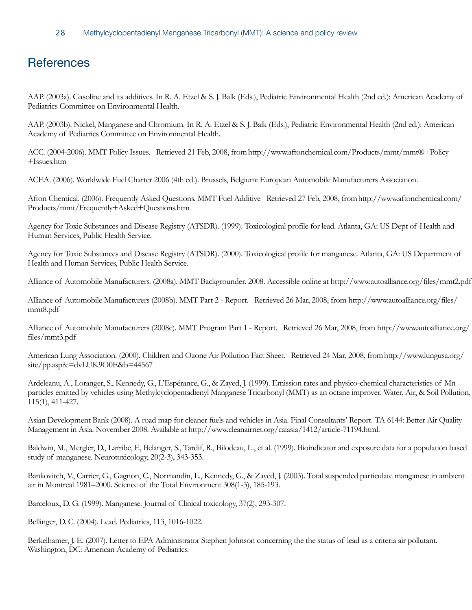### <span id="page-30-0"></span>**References**

AAP. (2003a). Gasoline and its additives. In R. A. Etzel & S. J. Balk (Eds.), Pediatric Environmental Health (2nd ed.): American Academy of Pediatrics Committee on Environmental Health.

AAP. (2003b). Nickel, Manganese and Chromium. In R. A. Etzel & S. J. Balk (Eds.), Pediatric Environmental Health (2nd ed.): American Academy of Pediatrics Committee on Environmental Health.

ACC. (2004-2006). MMT Policy Issues. Retrieved 21 Feb, 2008, from [http://www.aftonchemical.com/Products/mmt/mmt®+Policy](http://livepage.apple.com/) [+Issues.htm](http://livepage.apple.com/)

ACEA. (2006). Worldwide Fuel Charter 2006 (4th ed.). Brussels, Belgium: European Automobile Manufacturers Association.

Afton Chemical. (2006). Frequently Asked Questions. MMT Fuel Additive Retrieved 27 Feb, 2008, from [http://www.aftonchemical.com/](http://www.aftonchemical.com/Products/mmt/Frequently+Asked+Questions.htm) [Products/mmt/Frequently+Asked+Questions.htm](http://www.aftonchemical.com/Products/mmt/Frequently+Asked+Questions.htm)

Agency for Toxic Substances and Disease Registry (ATSDR). (1999). Toxicological profile for lead. Atlanta, GA: US Dept of Health and Human Services, Public Health Service.

Agency for Toxic Substances and Disease Registry (ATSDR). (2000). Toxicological profile for manganese. Atlanta, GA: US Department of Health and Human Services, Public Health Service.

Alliance of Automobile Manufacturers. (2008a). MMT Backgrounder. 2008. Accessible online at http://www.autoalliance.org/files/mmt2.pdf

Alliance of Automobile Manufacturers (2008b). MMT Part 2 - Report. Retrieved 26 Mar, 2008, from http://www.autoalliance.org/files/ mmt8.pdf

Alliance of Automobile Manufacturers (2008c). MMT Program Part 1 - Report. Retrieved 26 Mar, 2008, from http://www.autoalliance.org/ files/mmt3.pdf

American Lung Association. (2000). Children and Ozone Air Pollution Fact Sheet. Retrieved 24 Mar, 2008, from [http://www.lungusa.org/](http://www.lungusa.org/site/pp.asp?c=dvLUK9O0E&b=44567) [site/pp.asp?c=dvLUK9O0E&b=44567](http://www.lungusa.org/site/pp.asp?c=dvLUK9O0E&b=44567)

Ardeleanu, A., Loranger, S., Kennedy, G., L'Espérance, G., & Zayed, J. (1999). Emission rates and physico-chemical characteristics of Mn particles emitted by vehicles using Methylcyclopentadienyl Manganese Tricarbonyl (MMT) as an octane improver. Water, Air, & Soil Pollution, 115(1), 411-427.

Asian Development Bank (2008). A road map for cleaner fuels and vehicles in Asia. Final Consultants' Report. TA 6144: Better Air Quality Management in Asia. November 2008. Available at http://www.cleanairnet.org/caiasia/1412/article-71194.html.

Baldwin, M., Mergler, D., Larribe, F., Belanger, S., Tardif, R., Bilodeau, L., et al. (1999). Bioindicator and exposure data for a population based study of manganese. Neurotoxicology, 20(2-3), 343-353.

Bankovitch, V., Carrier, G., Gagnon, C., Normandin, L., Kennedy, G., & Zayed, J. (2003). Total suspended particulate manganese in ambient air in Montreal 1981–2000. Science of the Total Environment 308(1-3), 185-193.

Barceloux, D. G. (1999). Manganese. Journal of Clinical toxicology, 37(2), 293-307.

Bellinger, D. C. (2004). Lead. Pediatrics, 113, 1016-1022.

Berkelhamer, J. E. (2007). Letter to EPA Administrator Stephen Johnson concerning the the status of lead as a criteria air pollutant. Washington, DC: American Academy of Pediatrics.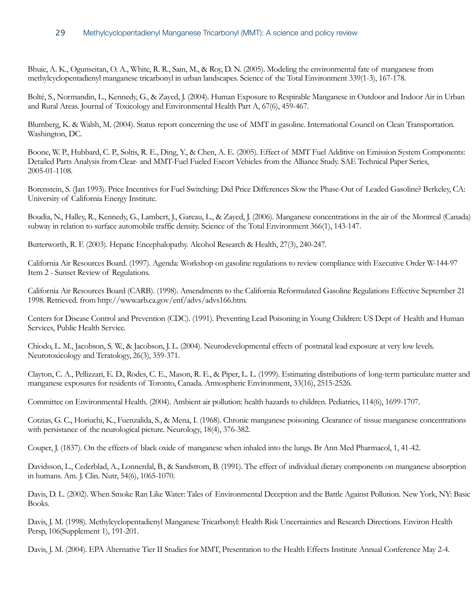Bhuie, A. K., Ogunseitan, O. A., White, R. R., Sain, M., & Roy, D. N. (2005). Modeling the environmental fate of manganese from methylcyclopentadienyl manganese tricarbonyl in urban landscapes. Science of the Total Environment 339(1-3), 167-178.

Bolté, S., Normandin, L., Kennedy, G., & Zayed, J. (2004). Human Exposure to Respirable Manganese in Outdoor and Indoor Air in Urban and Rural Areas. Journal of Toxicology and Environmental Health Part A, 67(6), 459-467.

Blumberg, K. & Walsh, M. (2004). Status report concerning the use of MMT in gasoline. International Council on Clean Transportation. Washington, DC.

Boone, W. P., Hubbard, C. P., Soltis, R. E., Ding, Y., & Chen, A. E. (2005). Effect of MMT Fuel Additive on Emission System Components: Detailed Parts Analysis from Clear- and MMT-Fuel Fueled Escort Vehicles from the Alliance Study. SAE Technical Paper Series, 2005-01-1108.

Borenstein, S. (Jan 1993). Price Incentives for Fuel Switching: Did Price Differences Slow the Phase-Out of Leaded Gasoline? Berkeley, CA: University of California Energy Institute.

Boudia, N., Halley, R., Kennedy, G., Lambert, J., Gareau, L., & Zayed, J. (2006). Manganese concentrations in the air of the Montreal (Canada) subway in relation to surface automobile traffic density. Science of the Total Environment 366(1), 143-147.

Butterworth, R. F. (2003). Hepatic Encephalopathy. Alcohol Research & Health, 27(3), 240-247.

California Air Resources Board. (1997). Agenda: Workshop on gasoline regulations to review compliance with Executive Order W-144-97 Item 2 - Sunset Review of Regulations.

California Air Resources Board (CARB). (1998). Amendments to the California Reformulated Gasoline Regulations Effective September 21 1998. Retrieved. from [http://www.arb.ca.gov/enf/advs/advs166.htm.](http://www.arb.ca.gov/enf/advs/advs166.htm)

Centers for Disease Control and Prevention (CDC). (1991). Preventing Lead Poisoning in Young Children: US Dept of Health and Human Services, Public Health Service.

Chiodo, L. M., Jacobson, S. W., & Jacobson, J. L. (2004). Neurodevelopmental effects of postnatal lead exposure at very low levels. Neurotoxicology and Teratology, 26(3), 359-371.

Clayton, C. A., Pellizzari, E. D., Rodes, C. E., Mason, R. E., & Piper, L. L. (1999). Estimating distributions of long-term particulate matter and manganese exposures for residents of Toronto, Canada. Atmospheric Environment, 33(16), 2515-2526.

Committee on Environmental Health. (2004). Ambient air pollution: health hazards to children. Pediatrics, 114(6), 1699-1707.

Cotzias, G. C., Horiuchi, K., Fuenzalida, S., & Mena, I. (1968). Chronic manganese poisoning. Clearance of tissue manganese concentrations with persistance of the neurological picture. Neurology, 18(4), 376-382.

Couper, J. (1837). On the effects of black oxide of manganese when inhaled into the lungs. Br Ann Med Pharmacol, 1, 41-42.

Davidsson, L., Cederblad, A., Lonnerdal, B., & Sandstrom, B. (1991). The effect of individual dietary components on manganese absorption in humans. Am. J. Clin. Nutr, 54(6), 1065-1070.

Davis, D. L. (2002). When Smoke Ran Like Water: Tales of Environmental Deception and the Battle Against Pollution. New York, NY: Basic Books.

Davis, J. M. (1998). Methylcyclopentadienyl Manganese Tricarbonyl: Health Risk Uncertainties and Research Directions. Environ Health Persp, 106(Supplement 1), 191-201.

Davis, J. M. (2004). EPA Alternative Tier II Studies for MMT, Presentation to the Health Effects Institute Annual Conference May 2-4.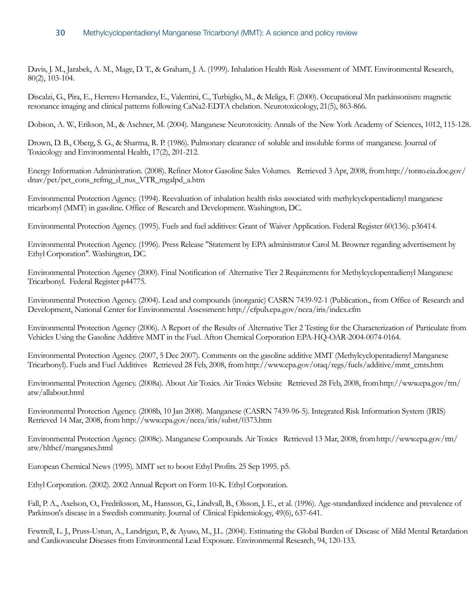Davis, J. M., Jarabek, A. M., Mage, D. T., & Graham, J. A. (1999). Inhalation Health Risk Assessment of MMT. Environmental Research, 80(2), 103-104.

Discalzi, G., Pira, E., Herrero Hernandez, E., Valentini, C., Turbiglio, M., & Meliga, F. (2000). Occupational Mn parkinsonism: magnetic resonance imaging and clinical patterns following CaNa2-EDTA chelation. Neurotoxicology, 21(5), 863-866.

Dobson, A. W., Erikson, M., & Aschner, M. (2004). Manganese Neurotoxicity. Annals of the New York Academy of Sciences, 1012, 115-128.

Drown, D. B., Oberg, S. G., & Sharma, R. P. (1986). Pulmonary clearance of soluble and insoluble forms of manganese. Journal of Toxicology and Environmental Health, 17(2), 201-212.

Energy Information Administration. (2008). Refiner Motor Gasoline Sales Volumes. Retrieved 3 Apr, 2008, from [http://tonto.eia.doe.gov/](http://tonto.eia.doe.gov/dnav/pet/pet_cons_refmg_d_nus_VTR_mgalpd_a.htm) [dnav/pet/pet\\_cons\\_refmg\\_d\\_nus\\_VTR\\_mgalpd\\_a.htm](http://tonto.eia.doe.gov/dnav/pet/pet_cons_refmg_d_nus_VTR_mgalpd_a.htm)

Environmental Protection Agency. (1994). Reevaluation of inhalation health risks associated with methylcyclopentadienyl manganese tricarbonyl (MMT) in gasoline. Office of Research and Development. Washington, DC.

Environmental Protection Agency. (1995). Fuels and fuel additives: Grant of Waiver Application. Federal Register 60(136). p36414.

Environmental Protection Agency. (1996). Press Release "Statement by EPA administrator Carol M. Browner regarding advertisement by Ethyl Corporation". Washington, DC.

Environmental Protection Agency (2000). Final Notification of Alternative Tier 2 Requirements for Methylcyclopentadienyl Manganese Tricarbonyl. Federal Register p44775.

Environmental Protection Agency. (2004). Lead and compounds (inorganic) CASRN 7439-92-1 (Publication., from Office of Research and Development, National Center for Environmental Assessment:<http://cfpub.epa.gov/ncea/iris/index.cfm>

Environmental Protection Agency (2006). A Report of the Results of Alternative Tier 2 Testing for the Characterization of Particulate from Vehicles Using the Gasoline Additive MMT in the Fuel. Afton Chemical Corporation EPA-HQ-OAR-2004-0074-0164.

Environmental Protection Agency. (2007, 5 Dec 2007). Comments on the gasoline additive MMT (Methylcyclopentadienyl Manganese Tricarbonyl). Fuels and Fuel Additives Retrieved 28 Feb, 2008, from [http://www.epa.gov/otaq/regs/fuels/additive/mmt\\_cmts.htm](http://www.epa.gov/otaq/regs/fuels/additive/mmt_cmts.htm)

Environmental Protection Agency. (2008a). About Air Toxics. Air Toxics Website Retrieved 28 Feb, 2008, from [http://www.epa.gov/ttn/](http://www.epa.gov/ttn/atw/allabout.html) [atw/allabout.html](http://www.epa.gov/ttn/atw/allabout.html)

Environmental Protection Agency. (2008b, 10 Jan 2008). Manganese (CASRN 7439-96-5). Integrated Risk Information System (IRIS) Retrieved 14 Mar, 2008, from<http://www.epa.gov/ncea/iris/subst/0373.htm>

Environmental Protection Agency. (2008c). Manganese Compounds. Air Toxics Retrieved 13 Mar, 2008, from [http://www.epa.gov/ttn/](http://www.epa.gov/ttn/atw/hlthef/manganes.html) [atw/hlthef/manganes.html](http://www.epa.gov/ttn/atw/hlthef/manganes.html)

European Chemical News (1995). MMT set to boost Ethyl Profits. 25 Sep 1995. p5.

Ethyl Corporation. (2002). 2002 Annual Report on Form 10-K. Ethyl Corporation.

Fall, P. A., Axelson, O., Fredriksson, M., Hansson, G., Lindvall, B., Olsson, J. E., et al. (1996). Age-standardized incidence and prevalence of Parkinson's disease in a Swedish community. Journal of Clinical Epidemiology, 49(6), 637-641.

Fewtrell, L. J., Pruss-Ustun, A., Landrigan, P., & Ayuso, M., J.L. (2004). Estimating the Global Burden of Disease of Mild Mental Retardation and Cardiovascular Diseases from Environmental Lead Exposure. Environmental Research, 94, 120-133.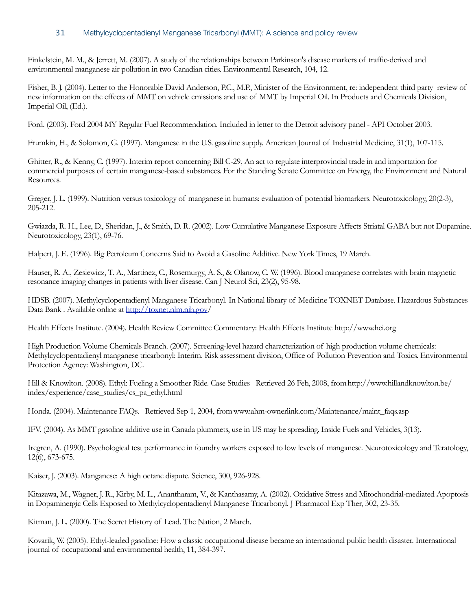Finkelstein, M. M., & Jerrett, M. (2007). A study of the relationships between Parkinson's disease markers of traffic-derived and environmental manganese air pollution in two Canadian cities. Environmental Research, 104, 12.

Fisher, B. J. (2004). Letter to the Honorable David Anderson, P.C., M.P., Minister of the Environment, re: independent third party review of new information on the effects of MMT on vehicle emissions and use of MMT by Imperial Oil. In Products and Chemicals Division, Imperial Oil, (Ed.).

Ford. (2003). Ford 2004 MY Regular Fuel Recommendation. Included in letter to the Detroit advisory panel - API October 2003.

Frumkin, H., & Solomon, G. (1997). Manganese in the U.S. gasoline supply. American Journal of Industrial Medicine, 31(1), 107-115.

Ghitter, R., & Kenny, C. (1997). Interim report concerning Bill C-29, An act to regulate interprovincial trade in and importation for commercial purposes of certain manganese-based substances. For the Standing Senate Committee on Energy, the Environment and Natural Resources.

Greger, J. L. (1999). Nutrition versus toxicology of manganese in humans: evaluation of potential biomarkers. Neurotoxicology, 20(2-3), 205-212.

Gwiazda, R. H., Lee, D., Sheridan, J., & Smith, D. R. (2002). Low Cumulative Manganese Exposure Affects Striatal GABA but not Dopamine. Neurotoxicology, 23(1), 69-76.

Halpert, J. E. (1996). Big Petroleum Concerns Said to Avoid a Gasoline Additive. New York Times, 19 March.

Hauser, R. A., Zesiewicz, T. A., Martinez, C., Rosemurgy, A. S., & Olanow, C. W. (1996). Blood manganese correlates with brain magnetic resonance imaging changes in patients with liver disease. Can J Neurol Sci, 23(2), 95-98.

HDSB. (2007). Methylcyclopentadienyl Manganese Tricarbonyl. In National library of Medicine TOXNET Database. Hazardous Substances Data Bank . Available online at<http://toxnet.nlm.nih.gov>/

Health Effects Institute. (2004). Health Review Committee Commentary: Health Effects Institute http://www.hei.org

High Production Volume Chemicals Branch. (2007). Screening-level hazard characterization of high production volume chemicals: Methylcyclopentadienyl manganese tricarbonyl: Interim. Risk assessment division, Office of Pollution Prevention and Toxics. Environmental Protection Agency: Washington, DC.

Hill & Knowlton. (2008). Ethyl: Fueling a Smoother Ride. Case Studies Retrieved 26 Feb, 2008, from [http://www.hillandknowlton.be/](http://www.hillandknowlton.be/index/experience/case_studies/cs_pa_ethyl.html) [index/experience/case\\_studies/cs\\_pa\\_ethyl.html](http://www.hillandknowlton.be/index/experience/case_studies/cs_pa_ethyl.html)

Honda. (2004). Maintenance FAQs. Retrieved Sep 1, 2004, from [www.ahm-ownerlink.com/Maintenance/maint\\_faqs.asp](http://www.ahm-ownerlink.com/Maintenance/maint_faqs.asp)

IFV. (2004). As MMT gasoline additive use in Canada plummets, use in US may be spreading. Inside Fuels and Vehicles, 3(13).

Iregren, A. (1990). Psychological test performance in foundry workers exposed to low levels of manganese. Neurotoxicology and Teratology, 12(6), 673-675.

Kaiser, J. (2003). Manganese: A high octane dispute. Science, 300, 926-928.

Kitazawa, M., Wagner, J. R., Kirby, M. L., Anantharam, V., & Kanthasamy, A. (2002). Oxidative Stress and Mitochondrial-mediated Apoptosis in Dopaminergic Cells Exposed to Methylcyclopentadienyl Manganese Tricarbonyl. J Pharmacol Exp Ther, 302, 23-35.

Kitman, J. L. (2000). The Secret History of Lead. The Nation, 2 March.

Kovarik, W. (2005). Ethyl-leaded gasoline: How a classic occupational disease became an international public health disaster. International journal of occupational and environmental health, 11, 384-397.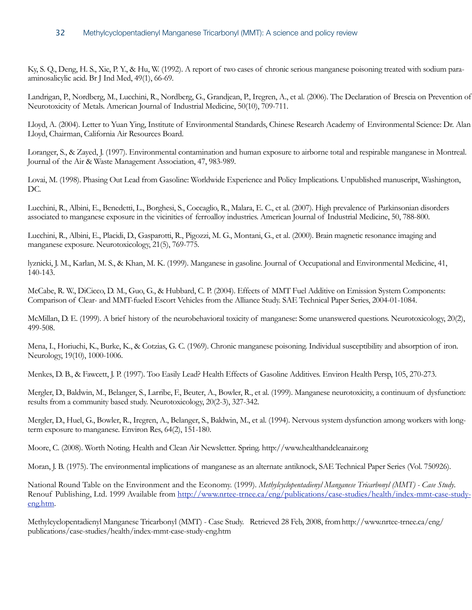Ky, S. Q., Deng, H. S., Xie, P. Y., & Hu, W. (1992). A report of two cases of chronic serious manganese poisoning treated with sodium paraaminosalicylic acid. Br J Ind Med, 49(1), 66-69.

Landrigan, P., Nordberg, M., Lucchini, R., Nordberg, G., Grandjean, P., Iregren, A., et al. (2006). The Declaration of Brescia on Prevention of Neurotoxicity of Metals. American Journal of Industrial Medicine, 50(10), 709-711.

Lloyd, A. (2004). Letter to Yuan Ying, Institute of Environmental Standards, Chinese Research Academy of Environmental Science: Dr. Alan Lloyd, Chairman, California Air Resources Board.

Loranger, S., & Zayed, J. (1997). Environmental contamination and human exposure to airborne total and respirable manganese in Montreal. Journal of the Air & Waste Management Association, 47, 983-989.

Lovai, M. (1998). Phasing Out Lead from Gasoline: Worldwide Experience and Policy Implications. Unpublished manuscript, Washington, DC.

Lucchini, R., Albini, E., Benedetti, L., Borghesi, S., Coccaglio, R., Malara, E. C., et al. (2007). High prevalence of Parkinsonian disorders associated to manganese exposure in the vicinities of ferroalloy industries. American Journal of Industrial Medicine, 50, 788-800.

Lucchini, R., Albini, E., Placidi, D., Gasparotti, R., Pigozzi, M. G., Montani, G., et al. (2000). Brain magnetic resonance imaging and manganese exposure. Neurotoxicology, 21(5), 769-775.

lyznicki, J. M., Karlan, M. S., & Khan, M. K. (1999). Manganese in gasoline. Journal of Occupational and Environmental Medicine, 41, 140-143.

McCabe, R. W., DiCicco, D. M., Guo, G., & Hubbard, C. P. (2004). Effects of MMT Fuel Additive on Emission System Components: Comparison of Clear- and MMT-fueled Escort Vehicles from the Alliance Study. SAE Technical Paper Series, 2004-01-1084.

McMillan, D. E. (1999). A brief history of the neurobehavioral toxicity of manganese: Some unanswered questions. Neurotoxicology, 20(2), 499-508.

Mena, I., Horiuchi, K., Burke, K., & Cotzias, G. C. (1969). Chronic manganese poisoning. Individual susceptibility and absorption of iron. Neurology, 19(10), 1000-1006.

Menkes, D. B., & Fawcett, J. P. (1997). Too Easily Lead? Health Effects of Gasoline Additives. Environ Health Persp, 105, 270-273.

Mergler, D., Baldwin, M., Belanger, S., Larribe, F., Beuter, A., Bowler, R., et al. (1999). Manganese neurotoxicity, a continuum of dysfunction: results from a community based study. Neurotoxicology, 20(2-3), 327-342.

Mergler, D., Huel, G., Bowler, R., Iregren, A., Belanger, S., Baldwin, M., et al. (1994). Nervous system dysfunction among workers with longterm exposure to manganese. Environ Res, 64(2), 151-180.

Moore, C. (2008). Worth Noting. Health and Clean Air Newsletter. Spring. http://www.healthandcleanair.org

Moran, J. B. (1975). The environmental implications of manganese as an alternate antiknock, SAE Technical Paper Series (Vol. 750926).

National Round Table on the Environment and the Economy. (1999). *Methylcyclopentadienyl Manganese Tricarbonyl (MMT) - Case Study*. Renouf Publishing, Ltd. 1999 Available from [http://www.nrtee-trnee.ca/eng/publications/case-studies/health/index-mmt-case-study](http://www.nrtee-trnee.ca/eng/publications/case-studies/health/index-mmt-case-study-eng.htm)[eng.htm](http://www.nrtee-trnee.ca/eng/publications/case-studies/health/index-mmt-case-study-eng.htm).

Methylcyclopentadienyl Manganese Tricarbonyl (MMT) - Case Study. Retrieved 28 Feb, 2008, from [http://www.nrtee-trnee.ca/eng/](http://www.nrtee-trnee.ca/eng/publications/case-studies/health/index-mmt-case-study-eng.htm) [publications/case-studies/health/index-mmt-case-study-eng.htm](http://www.nrtee-trnee.ca/eng/publications/case-studies/health/index-mmt-case-study-eng.htm)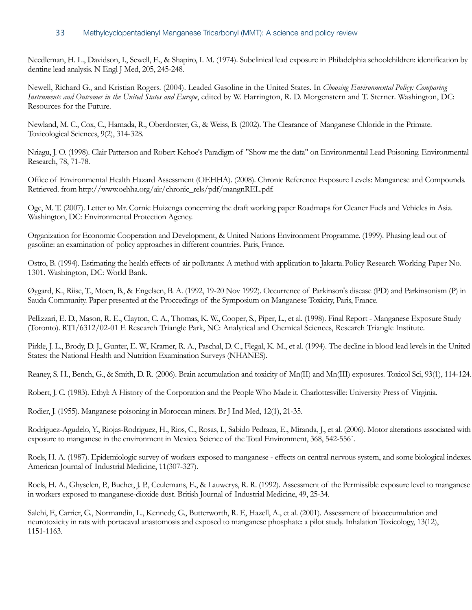Needleman, H. L., Davidson, I., Sewell, E., & Shapiro, I. M. (1974). Subclinical lead exposure in Philadelphia schoolchildren: identification by dentine lead analysis. N Engl J Med, 205, 245-248.

Newell, Richard G., and Kristian Rogers. (2004). Leaded Gasoline in the United States. In *Choosing Environmental Policy: Comparing Instruments and Outcomes in the United States and Europe*, edited by W. Harrington, R. D. Morgenstern and T. Sterner. Washington, DC: Resources for the Future.

Newland, M. C., Cox, C., Hamada, R., Oberdorster, G., & Weiss, B. (2002). The Clearance of Manganese Chloride in the Primate. Toxicological Sciences, 9(2), 314-328.

Nriagu, J. O. (1998). Clair Patterson and Robert Kehoe's Paradigm of "Show me the data" on Environmental Lead Poisoning. Environmental Research, 78, 71-78.

Office of Environmental Health Hazard Assessment (OEHHA). (2008). Chronic Reference Exposure Levels: Manganese and Compounds. Retrieved. from [http://www.oehha.org/air/chronic\\_rels/pdf/mangnREL.pdf.](http://www.oehha.org/air/chronic_rels/pdf/mangnREL.pdf)

Oge, M. T. (2007). Letter to Mr. Cornie Huizenga concerning the draft working paper Roadmaps for Cleaner Fuels and Vehicles in Asia. Washington, DC: Environmental Protection Agency.

Organization for Economic Cooperation and Development, & United Nations Environment Programme. (1999). Phasing lead out of gasoline: an examination of policy approaches in different countries. Paris, France.

Ostro, B. (1994). Estimating the health effects of air pollutants: A method with application to Jakarta. Policy Research Working Paper No. 1301. Washington, DC: World Bank.

Øygard, K., Riise, T., Moen, B., & Engelsen, B. A. (1992, 19-20 Nov 1992). Occurrence of Parkinson's disease (PD) and Parkinsonism (P) in Sauda Community. Paper presented at the Proccedings of the Symposium on Manganese Toxicity, Paris, France.

Pellizzari, E. D., Mason, R. E., Clayton, C. A., Thomas, K. W., Cooper, S., Piper, L., et al. (1998). Final Report - Manganese Exposure Study (Toronto). RTI/6312/02-01 F. Research Triangle Park, NC: Analytical and Chemical Sciences, Research Triangle Institute.

Pirkle, J. L., Brody, D. J., Gunter, E. W., Kramer, R. A., Paschal, D. C., Flegal, K. M., et al. (1994). The decline in blood lead levels in the United States: the National Health and Nutrition Examination Surveys (NHANES).

Reaney, S. H., Bench, G., & Smith, D. R. (2006). Brain accumulation and toxicity of Mn(II) and Mn(III) exposures. Toxicol Sci, 93(1), 114-124.

Robert, J. C. (1983). Ethyl: A History of the Corporation and the People Who Made it. Charlottesville: University Press of Virginia.

Rodier, J. (1955). Manganese poisoning in Moroccan miners. Br J Ind Med, 12(1), 21-35.

Rodriguez-Agudelo, Y., Riojas-Rodriguez, H., Rios, C., Rosas, I., Sabido Pedraza, E., Miranda, J., et al. (2006). Motor alterations associated with exposure to manganese in the environment in Mexico. Science of the Total Environment, 368, 542-556`.

Roels, H. A. (1987). Epidemiologic survey of workers exposed to manganese - effects on central nervous system, and some biological indexes. American Journal of Industrial Medicine, 11(307-327).

Roels, H. A., Ghyselen, P., Buchet, J. P., Ceulemans, E., & Lauwerys, R. R. (1992). Assessment of the Permissible exposure level to manganese in workers exposed to manganese-dioxide dust. British Journal of Industrial Medicine, 49, 25-34.

Salehi, F., Carrier, G., Normandin, L., Kennedy, G., Butterworth, R. F., Hazell, A., et al. (2001). Assessment of bioaccumulation and neurotoxicity in rats with portacaval anastomosis and exposed to manganese phosphate: a pilot study. Inhalation Toxicology, 13(12), 1151-1163.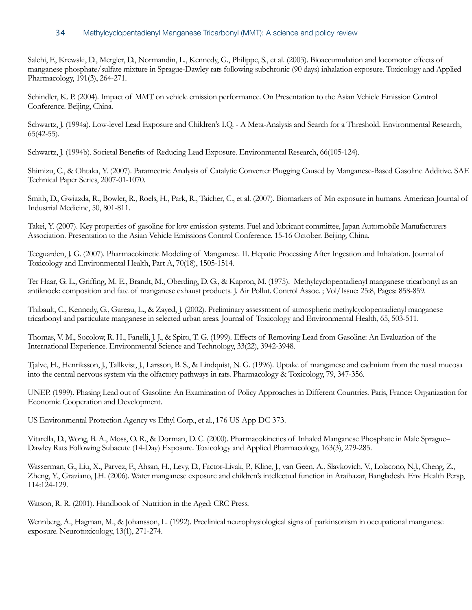Salehi, F., Krewski, D., Mergler, D., Normandin, L., Kennedy, G., Philippe, S., et al. (2003). Bioaccumulation and locomotor effects of manganese phosphate/sulfate mixture in Sprague-Dawley rats following subchronic (90 days) inhalation exposure. Toxicology and Applied Pharmacology, 191(3), 264-271.

Schindler, K. P. (2004). Impact of MMT on vehicle emission performance. On Presentation to the Asian Vehicle Emission Control Conference. Beijing, China.

Schwartz, J. (1994a). Low-level Lead Exposure and Children's I.Q. - A Meta-Analysis and Search for a Threshold. Environmental Research, 65(42-55).

Schwartz, J. (1994b). Societal Benefits of Reducing Lead Exposure. Environmental Research, 66(105-124).

Shimizu, C., & Ohtaka, Y. (2007). Parameetric Analysis of Catalytic Converter Plugging Caused by Manganese-Based Gasoline Additive. SAE Technical Paper Series, 2007-01-1070.

Smith, D., Gwiazda, R., Bowler, R., Roels, H., Park, R., Taicher, C., et al. (2007). Biomarkers of Mn exposure in humans. American Journal of Industrial Medicine, 50, 801-811.

Takei, Y. (2007). Key properties of gasoline for low emission systems. Fuel and lubricant committee, Japan Automobile Manufacturers Association. Presentation to the Asian Vehicle Emissions Control Conference. 15-16 October. Beijing, China.

Teeguarden, J. G. (2007). Pharmacokinetic Modeling of Manganese. II. Hepatic Processing After Ingestion and Inhalation. Journal of Toxicology and Environmental Health, Part A, 70(18), 1505-1514.

Ter Haar, G. L., Griffing, M. E., Brandt, M., Oberding, D. G., & Kapron, M. (1975). Methylcyclopentadienyl manganese tricarbonyl as an antiknock: composition and fate of manganese exhaust products. J. Air Pollut. Control Assoc. ; Vol/Issue: 25:8, Pages: 858-859.

Thibault, C., Kennedy, G., Gareau, L., & Zayed, J. (2002). Preliminary assessment of atmospheric methylcyclopentadienyl manganese tricarbonyl and particulate manganese in selected urban areas. Journal of Toxicology and Environmental Health, 65, 503-511.

Thomas, V. M., Socolow, R. H., Fanelli, J. J., & Spiro, T. G. (1999). Effects of Removing Lead from Gasoline: An Evaluation of the International Experience. Environmental Science and Technology, 33(22), 3942-3948.

Tjalve, H., Henriksson, J., Tallkvist, J., Larsson, B. S., & Lindquist, N. G. (1996). Uptake of manganese and cadmium from the nasal mucosa into the central nervous system via the olfactory pathways in rats. Pharmacology & Toxicology, 79, 347-356.

UNEP. (1999). Phasing Lead out of Gasoline: An Examination of Policy Approaches in Different Countries. Paris, France: Organization for Economic Cooperation and Development.

US Environmental Protection Agency vs Ethyl Corp., et al., 176 US App DC 373.

Vitarella, D., Wong, B. A., Moss, O. R., & Dorman, D. C. (2000). Pharmacokinetics of Inhaled Manganese Phosphate in Male Sprague– Dawley Rats Following Subacute (14-Day) Exposure. Toxicology and Applied Pharmacology, 163(3), 279-285.

Wasserman, G., Liu, X., Parvez, F., Ahsan, H., Levy, D., Factor-Livak, P., Kline, J., van Geen, A., Slavkovich, V., Lolacono, N.J., Cheng, Z., Zheng, Y., Graziano, J.H. (2006). Water manganese exposure and children's intellectual function in Araihazar, Bangladesh. Env Health Persp, 114:124-129.

Watson, R. R. (2001). Handbook of Nutrition in the Aged: CRC Press.

Wennberg, A., Hagman, M., & Johansson, L. (1992). Preclinical neurophysiological signs of parkinsonism in occupational manganese exposure. Neurotoxicology, 13(1), 271-274.